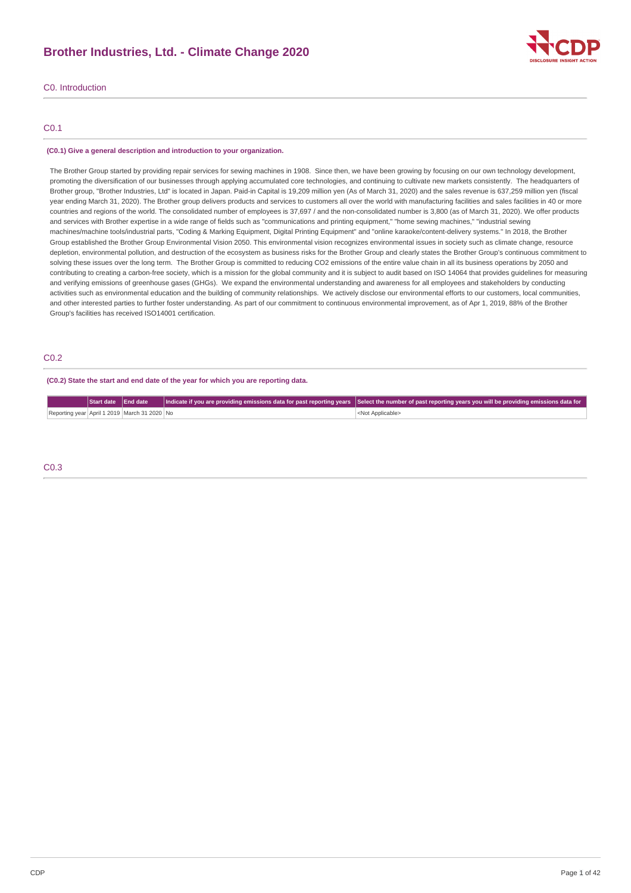# **Brother Industries, Ltd. - Climate Change 2020**



# C0. Introduction

# C0.1

#### **(C0.1) Give a general description and introduction to your organization.**

The Brother Group started by providing repair services for sewing machines in 1908. Since then, we have been growing by focusing on our own technology development, promoting the diversification of our businesses through applying accumulated core technologies, and continuing to cultivate new markets consistently. The headquarters of Brother group, "Brother Industries, Ltd" is located in Japan. Paid-in Capital is 19,209 million yen (As of March 31, 2020) and the sales revenue is 637,259 million yen (fiscal year ending March 31, 2020). The Brother group delivers products and services to customers all over the world with manufacturing facilities and sales facilities in 40 or more countries and regions of the world. The consolidated number of employees is 37,697 / and the non-consolidated number is 3,800 (as of March 31, 2020). We offer products and services with Brother expertise in a wide range of fields such as "communications and printing equipment," "home sewing machines," "industrial sewing machines/machine tools/industrial parts, "Coding & Marking Equipment, Digital Printing Equipment" and "online karaoke/content-delivery systems." In 2018, the Brother Group established the Brother Group Environmental Vision 2050. This environmental vision recognizes environmental issues in society such as climate change, resource depletion, environmental pollution, and destruction of the ecosystem as business risks for the Brother Group and clearly states the Brother Group's continuous commitment to solving these issues over the long term. The Brother Group is committed to reducing CO2 emissions of the entire value chain in all its business operations by 2050 and contributing to creating a carbon-free society, which is a mission for the global community and it is subject to audit based on ISO 14064 that provides guidelines for measuring and verifying emissions of greenhouse gases (GHGs). We expand the environmental understanding and awareness for all employees and stakeholders by conducting activities such as environmental education and the building of community relationships. We actively disclose our environmental efforts to our customers, local communities, and other interested parties to further foster understanding. As part of our commitment to continuous environmental improvement, as of Apr 1, 2019, 88% of the Brother Group's facilities has received ISO14001 certification.

# C0.2

#### **(C0.2) State the start and end date of the year for which you are reporting data.**

|                                              |  | Start date End date Indicate if you are providing emissions data for past reporting years Select the number of past reporting years you will be providing emissions data for |
|----------------------------------------------|--|------------------------------------------------------------------------------------------------------------------------------------------------------------------------------|
| Reporting year April 1 2019 March 31 2020 No |  | <not applicable=""></not>                                                                                                                                                    |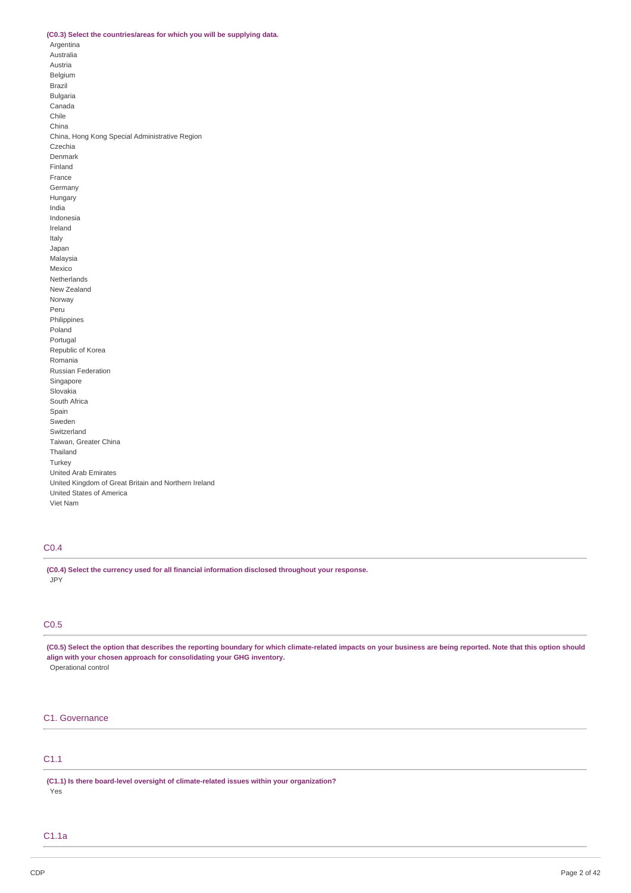## **(C0.3) Select the countries/areas for which you will be supplying data.**

Argentina Australia Austria Belgium Brazil Bulgaria Canada Chile China China, Hong Kong Special Administrative Region Czechia Denmark Finland France Germany Hungary India Indonesia Ireland Italy Japan Malaysia Mexico Netherlands New Zealand Norway Peru Philippines Poland Portugal Republic of Korea Romania Russian Federation Singapore Slovakia South Africa Spain Sweden Switzerland Taiwan, Greater China Thailand **Turkey** United Arab Emirates United Kingdom of Great Britain and Northern Ireland United States of America Viet Nam

# C0.4

**(C0.4) Select the currency used for all financial information disclosed throughout your response.** JPY

# C0.5

(C0.5) Select the option that describes the reporting boundary for which climate-related impacts on your business are being reported. Note that this option should **align with your chosen approach for consolidating your GHG inventory.** Operational control

# C1. Governance

# C1.1

**(C1.1) Is there board-level oversight of climate-related issues within your organization?** Yes

# C1.1a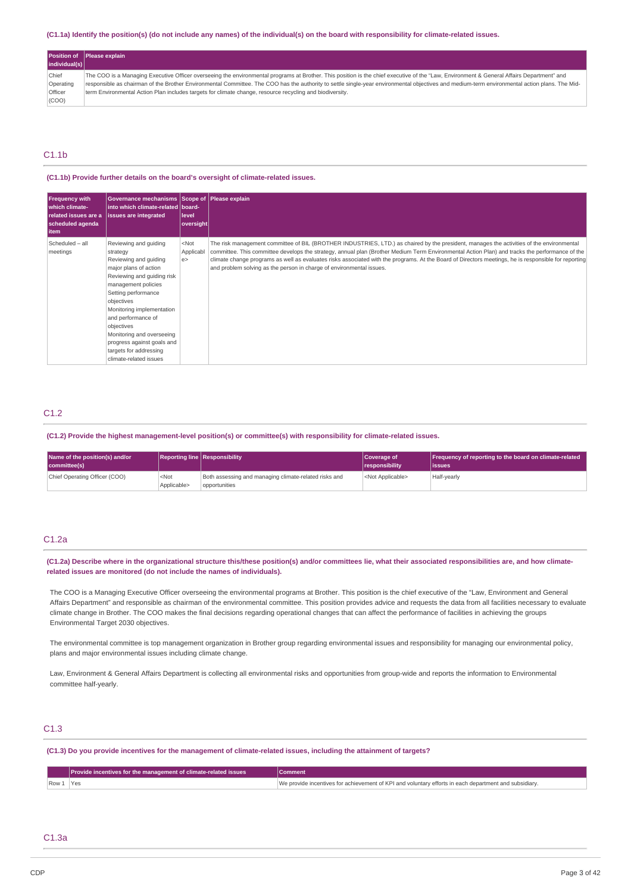## (C1.1a) Identify the position(s) (do not include any names) of the individual(s) on the board with responsibility for climate-related issues.

|                | <b>Position of Please explain</b>                                                                                                                                                             |
|----------------|-----------------------------------------------------------------------------------------------------------------------------------------------------------------------------------------------|
| individual(s)  |                                                                                                                                                                                               |
| Chief          | The COO is a Managing Executive Officer overseeing the environmental programs at Brother. This position is the chief executive of the "Law, Environment & General Affairs Department" and     |
| Operating      | responsible as chairman of the Brother Environmental Committee. The COO has the authority to settle single-year environmental objectives and medium-term environmental action plans. The Mid- |
| <b>Officer</b> | term Environmental Action Plan includes targets for climate change, resource recycling and biodiversity.                                                                                      |
| (COO)          |                                                                                                                                                                                               |

# C1.1b

#### **(C1.1b) Provide further details on the board's oversight of climate-related issues.**

| Frequency with<br>which climate-<br>scheduled agenda<br>  item | Governance mechanisms Scope of Please explain<br>into which climate-related board-<br>related issues are a issues are integrated                                                                                                                                                                                                                              | level<br>oversight        |                                                                                                                                                                                                                                                                                                                                                                                                                                                                                                                            |
|----------------------------------------------------------------|---------------------------------------------------------------------------------------------------------------------------------------------------------------------------------------------------------------------------------------------------------------------------------------------------------------------------------------------------------------|---------------------------|----------------------------------------------------------------------------------------------------------------------------------------------------------------------------------------------------------------------------------------------------------------------------------------------------------------------------------------------------------------------------------------------------------------------------------------------------------------------------------------------------------------------------|
| Scheduled - all<br>meetings                                    | Reviewing and quiding<br>strategy<br>Reviewing and guiding<br>major plans of action<br>Reviewing and quiding risk<br>management policies<br>Setting performance<br>objectives<br>Monitoring implementation<br>and performance of<br>objectives<br>Monitoring and overseeing<br>progress against goals and<br>targets for addressing<br>climate-related issues | $<$ Not<br>Applicabl<br>e | The risk management committee of BIL (BROTHER INDUSTRIES, LTD.) as chaired by the president, manages the activities of the environmental<br>committee. This committee develops the strategy, annual plan (Brother Medium Term Environmental Action Plan) and tracks the performance of the<br>climate change programs as well as evaluates risks associated with the programs. At the Board of Directors meetings, he is responsible for reporting<br>and problem solving as the person in charge of environmental issues. |

# C1.2

## **(C1.2) Provide the highest management-level position(s) or committee(s) with responsibility for climate-related issues.**

| Name of the position(s) and/or<br>committee(s) |                        | <b>Reporting line Responsibility</b>                                   | Coverage of<br><i><u><b>I</b></u></i> responsibility | Frequency of reporting to the board on climate-related<br>lissues |
|------------------------------------------------|------------------------|------------------------------------------------------------------------|------------------------------------------------------|-------------------------------------------------------------------|
| Chief Operating Officer (COO)                  | $<$ Not<br>Applicable> | Both assessing and managing climate-related risks and<br>opportunities | <not applicable=""></not>                            | Half-yearly                                                       |

# C1.2a

(C1.2a) Describe where in the organizational structure this/these position(s) and/or committees lie, what their associated responsibilities are, and how climate**related issues are monitored (do not include the names of individuals).**

The COO is a Managing Executive Officer overseeing the environmental programs at Brother. This position is the chief executive of the "Law, Environment and General Affairs Department" and responsible as chairman of the environmental committee. This position provides advice and requests the data from all facilities necessary to evaluate climate change in Brother. The COO makes the final decisions regarding operational changes that can affect the performance of facilities in achieving the groups Environmental Target 2030 objectives.

The environmental committee is top management organization in Brother group regarding environmental issues and responsibility for managing our environmental policy, plans and major environmental issues including climate change.

Law, Environment & General Affairs Department is collecting all environmental risks and opportunities from group-wide and reports the information to Environmental committee half-yearly.

# C1.3

### (C1.3) Do you provide incentives for the management of climate-related issues, including the attainment of targets?

|      | <b>Provide incentives for the management of climate-related issues</b> | Comment                                                                                  |
|------|------------------------------------------------------------------------|------------------------------------------------------------------------------------------|
| Row. | Yes<br>$\sim$ $\sim$                                                   | incentives for achievement of KPI and voluntary efforts in each denartmen<br>subsidiary. |

# C1.3a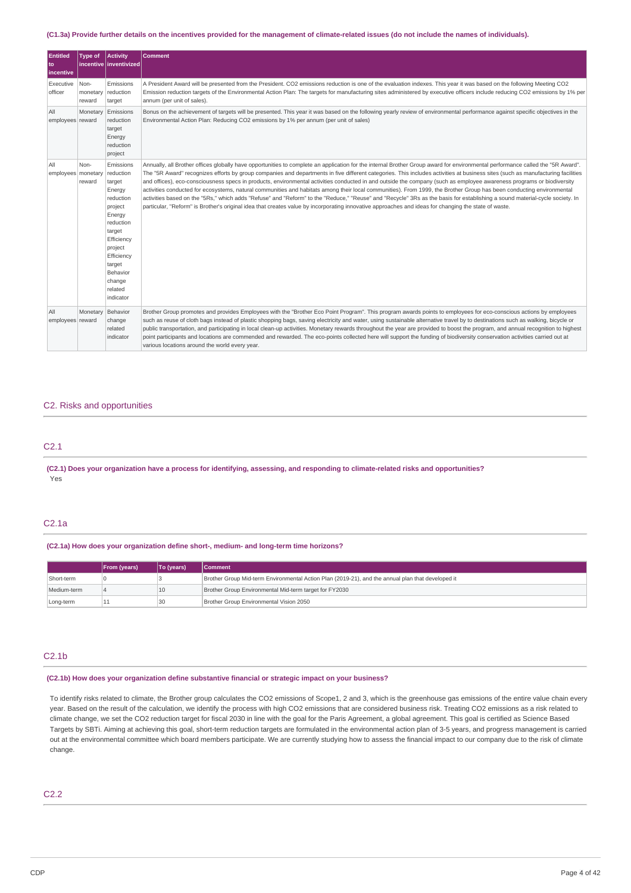## (C1.3a) Provide further details on the incentives provided for the management of climate-related issues (do not include the names of individuals).

| <b>Entitled</b><br>to<br>incentive | <b>Type of</b>             | <b>Activity</b><br>incentive inventivized                                                                                                                                                          | <b>Comment</b>                                                                                                                                                                                                                                                                                                                                                                                                                                                                                                                                                                                                                                                                                                                                                                                                                                                                                                                                                                                                                                            |
|------------------------------------|----------------------------|----------------------------------------------------------------------------------------------------------------------------------------------------------------------------------------------------|-----------------------------------------------------------------------------------------------------------------------------------------------------------------------------------------------------------------------------------------------------------------------------------------------------------------------------------------------------------------------------------------------------------------------------------------------------------------------------------------------------------------------------------------------------------------------------------------------------------------------------------------------------------------------------------------------------------------------------------------------------------------------------------------------------------------------------------------------------------------------------------------------------------------------------------------------------------------------------------------------------------------------------------------------------------|
| Executive<br>officer               | Non-<br>monetary<br>reward | Emissions<br>reduction<br>target                                                                                                                                                                   | A President Award will be presented from the President. CO2 emissions reduction is one of the evaluation indexes. This year it was based on the following Meeting CO2<br>Emission reduction targets of the Environmental Action Plan: The targets for manufacturing sites administered by executive officers include reducing CO2 emissions by 1% per<br>annum (per unit of sales).                                                                                                                                                                                                                                                                                                                                                                                                                                                                                                                                                                                                                                                                       |
| All<br>employees reward            | Monetary                   | Emissions<br>reduction<br>target<br>Energy<br>reduction<br>project                                                                                                                                 | Bonus on the achievement of targets will be presented. This year it was based on the following yearly review of environmental performance against specific objectives in the<br>Environmental Action Plan: Reducing CO2 emissions by 1% per annum (per unit of sales)                                                                                                                                                                                                                                                                                                                                                                                                                                                                                                                                                                                                                                                                                                                                                                                     |
| All<br>employees monetary          | Non-<br>reward             | Emissions<br>reduction<br>target<br>Energy<br>reduction<br>project<br>Energy<br>reduction<br>target<br>Efficiency<br>project<br>Efficiency<br>target<br>Behavior<br>change<br>related<br>indicator | Annually, all Brother offices globally have opportunities to complete an application for the internal Brother Group award for environmental performance called the "5R Award".<br>The "5R Award" recognizes efforts by group companies and departments in five different categories. This includes activities at business sites (such as manufacturing facilities<br>and offices), eco-consciousness specs in products, environmental activities conducted in and outside the company (such as employee awareness programs or biodiversity<br>activities conducted for ecosystems, natural communities and habitats among their local communities). From 1999, the Brother Group has been conducting environmental<br>activities based on the "5Rs," which adds "Refuse" and "Reform" to the "Reduce," "Reuse" and "Recycle" 3Rs as the basis for establishing a sound material-cycle society. In<br>particular, "Reform" is Brother's original idea that creates value by incorporating innovative approaches and ideas for changing the state of waste. |
| All<br>employees reward            | Monetary                   | Behavior<br>change<br>related<br>indicator                                                                                                                                                         | Brother Group promotes and provides Employees with the "Brother Eco Point Program". This program awards points to employees for eco-conscious actions by employees<br>such as reuse of cloth bags instead of plastic shopping bags, saving electricity and water, using sustainable alternative travel by to destinations such as walking, bicycle or<br>public transportation, and participating in local clean-up activities. Monetary rewards throughout the year are provided to boost the program, and annual recognition to highest<br>point participants and locations are commended and rewarded. The eco-points collected here will support the funding of biodiversity conservation activities carried out at<br>various locations around the world every year.                                                                                                                                                                                                                                                                                 |

## C2. Risks and opportunities

# C2.1

(C2.1) Does your organization have a process for identifying, assessing, and responding to climate-related risks and opportunities? Yes

## C2.1a

## **(C2.1a) How does your organization define short-, medium- and long-term time horizons?**

|             | <b>From (vears)</b> | To (years) | Comment                                                                                           |
|-------------|---------------------|------------|---------------------------------------------------------------------------------------------------|
| Short-term  |                     |            | Brother Group Mid-term Environmental Action Plan (2019-21), and the annual plan that developed it |
| Medium-term |                     | 10         | Brother Group Environmental Mid-term target for FY2030                                            |
| Long-term   | 11                  | 30         | Brother Group Environmental Vision 2050                                                           |

# C2.1b

# **(C2.1b) How does your organization define substantive financial or strategic impact on your business?**

To identify risks related to climate, the Brother group calculates the CO2 emissions of Scope1, 2 and 3, which is the greenhouse gas emissions of the entire value chain every year. Based on the result of the calculation, we identify the process with high CO2 emissions that are considered business risk. Treating CO2 emissions as a risk related to climate change, we set the CO2 reduction target for fiscal 2030 in line with the goal for the Paris Agreement, a global agreement. This goal is certified as Science Based Targets by SBTi. Aiming at achieving this goal, short-term reduction targets are formulated in the environmental action plan of 3-5 years, and progress management is carried out at the environmental committee which board members participate. We are currently studying how to assess the financial impact to our company due to the risk of climate change.

# C2.2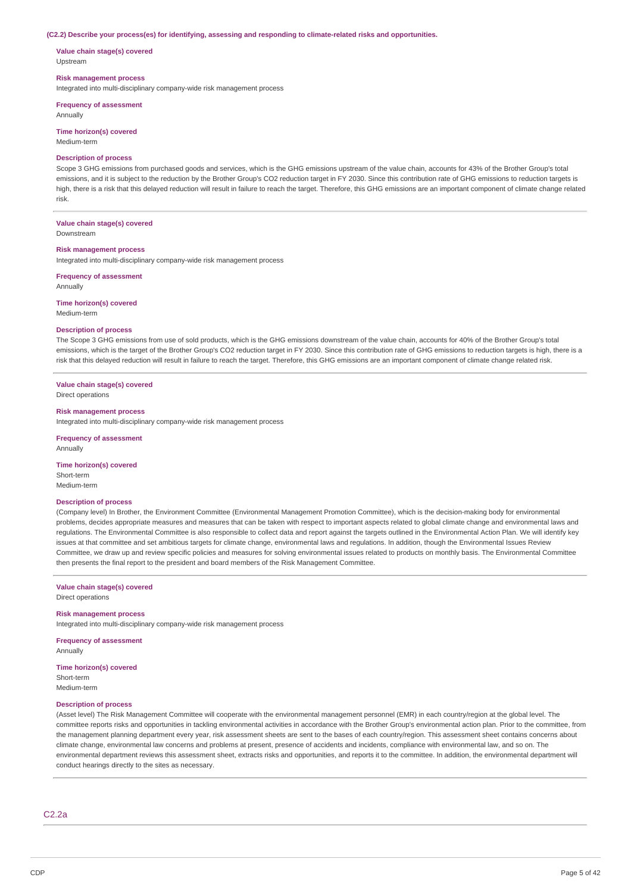#### **(C2.2) Describe your process(es) for identifying, assessing and responding to climate-related risks and opportunities.**

**Value chain stage(s) covered** Upstream

## **Risk management process**

Integrated into multi-disciplinary company-wide risk management process

**Frequency of assessment** Annually

**Time horizon(s) covered** Medium-term

# **Description of process**

Scope 3 GHG emissions from purchased goods and services, which is the GHG emissions upstream of the value chain, accounts for 43% of the Brother Group's total emissions, and it is subject to the reduction by the Brother Group's CO2 reduction target in FY 2030. Since this contribution rate of GHG emissions to reduction targets is high, there is a risk that this delayed reduction will result in failure to reach the target. Therefore, this GHG emissions are an important component of climate change related risk.

# **Value chain stage(s) covered**

Downstream

# **Risk management process**

Integrated into multi-disciplinary company-wide risk management process

**Frequency of assessment** Annually

**Time horizon(s) covered** Medium-term

## **Description of process**

The Scope 3 GHG emissions from use of sold products, which is the GHG emissions downstream of the value chain, accounts for 40% of the Brother Group's total emissions, which is the target of the Brother Group's CO2 reduction target in FY 2030. Since this contribution rate of GHG emissions to reduction targets is high, there is a risk that this delayed reduction will result in failure to reach the target. Therefore, this GHG emissions are an important component of climate change related risk.

## **Value chain stage(s) covered**

Direct operations

#### **Risk management process**

Integrated into multi-disciplinary company-wide risk management process

## **Frequency of assessment**

Annually

## **Time horizon(s) covered**

Short-term Medium-term

#### **Description of process**

(Company level) In Brother, the Environment Committee (Environmental Management Promotion Committee), which is the decision-making body for environmental problems, decides appropriate measures and measures that can be taken with respect to important aspects related to global climate change and environmental laws and regulations. The Environmental Committee is also responsible to collect data and report against the targets outlined in the Environmental Action Plan. We will identify key issues at that committee and set ambitious targets for climate change, environmental laws and regulations. In addition, though the Environmental Issues Review Committee, we draw up and review specific policies and measures for solving environmental issues related to products on monthly basis. The Environmental Committee then presents the final report to the president and board members of the Risk Management Committee.

#### **Value chain stage(s) covered** Direct operations

**Risk management process**

Integrated into multi-disciplinary company-wide risk management process

**Frequency of assessment** Annually

**Time horizon(s) covered** Short-term Medium-term

### **Description of process**

(Asset level) The Risk Management Committee will cooperate with the environmental management personnel (EMR) in each country/region at the global level. The committee reports risks and opportunities in tackling environmental activities in accordance with the Brother Group's environmental action plan. Prior to the committee, from the management planning department every year, risk assessment sheets are sent to the bases of each country/region. This assessment sheet contains concerns about climate change, environmental law concerns and problems at present, presence of accidents and incidents, compliance with environmental law, and so on. The environmental department reviews this assessment sheet, extracts risks and opportunities, and reports it to the committee. In addition, the environmental department will conduct hearings directly to the sites as necessary.

C2.2a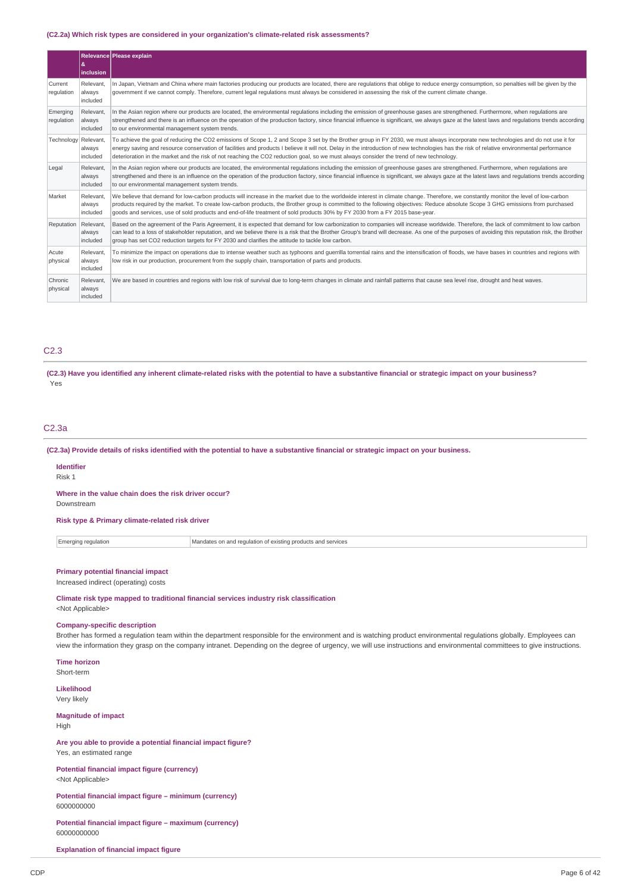## **(C2.2a) Which risk types are considered in your organization's climate-related risk assessments?**

|                        | &<br>inclusion                  | Relevance Please explain                                                                                                                                                                                                                                                                                                                                                                                                                                                                                                     |
|------------------------|---------------------------------|------------------------------------------------------------------------------------------------------------------------------------------------------------------------------------------------------------------------------------------------------------------------------------------------------------------------------------------------------------------------------------------------------------------------------------------------------------------------------------------------------------------------------|
| Current<br>requlation  | Relevant.<br>always<br>included | In Japan, Vietnam and China where main factories producing our products are located, there are regulations that oblige to reduce energy consumption, so penalties will be given by the<br>government if we cannot comply. Therefore, current legal regulations must always be considered in assessing the risk of the current climate change.                                                                                                                                                                                |
| Emerging<br>regulation | Relevant.<br>always<br>included | In the Asian region where our products are located, the environmental regulations including the emission of greenhouse gases are strengthened. Furthermore, when regulations are<br>strengthened and there is an influence on the operation of the production factory, since financial influence is significant, we always gaze at the latest laws and regulations trends according<br>to our environmental management system trends.                                                                                        |
| Technology Relevant,   | always<br>included              | To achieve the goal of reducing the CO2 emissions of Scope 1, 2 and Scope 3 set by the Brother group in FY 2030, we must always incorporate new technologies and do not use it for<br>energy saving and resource conservation of facilities and products I believe it will not. Delay in the introduction of new technologies has the risk of relative environmental performance<br>deterioration in the market and the risk of not reaching the CO2 reduction goal, so we must always consider the trend of new technology. |
| Legal                  | Relevant.<br>always<br>included | In the Asian region where our products are located, the environmental regulations including the emission of greenhouse gases are strengthened. Furthermore, when regulations are<br>strengthened and there is an influence on the operation of the production factory, since financial influence is significant, we always gaze at the latest laws and regulations trends according<br>to our environmental management system trends.                                                                                        |
| Market                 | Relevant.<br>always<br>included | We believe that demand for low-carbon products will increase in the market due to the worldwide interest in climate change. Therefore, we constantly monitor the level of low-carbon<br>products required by the market. To create low-carbon products, the Brother group is committed to the following objectives: Reduce absolute Scope 3 GHG emissions from purchased<br>goods and services, use of sold products and end-of-life treatment of sold products 30% by FY 2030 from a FY 2015 base-year.                     |
| Reputation             | Relevant,<br>always<br>included | Based on the agreement of the Paris Agreement, it is expected that demand for low carbonization to companies will increase worldwide. Therefore, the lack of commitment to low carbon<br>can lead to a loss of stakeholder reputation, and we believe there is a risk that the Brother Group's brand will decrease. As one of the purposes of avoiding this reputation risk, the Brother<br>group has set CO2 reduction targets for FY 2030 and clarifies the attitude to tackle low carbon.                                 |
| Acute<br>physical      | Relevant.<br>always<br>included | To minimize the impact on operations due to intense weather such as typhoons and querrilla torrential rains and the intensification of floods, we have bases in countries and regions with<br>low risk in our production, procurement from the supply chain, transportation of parts and products.                                                                                                                                                                                                                           |
| Chronic<br>physical    | Relevant.<br>always<br>included | We are based in countries and regions with low risk of survival due to long-term changes in climate and rainfall patterns that cause sea level rise, drought and heat waves.                                                                                                                                                                                                                                                                                                                                                 |

# C2.3

(C2.3) Have you identified any inherent climate-related risks with the potential to have a substantive financial or strategic impact on your business? Yes

## C2.3a

(C2.3a) Provide details of risks identified with the potential to have a substantive financial or strategic impact on your business.

#### **Identifier** Risk 1

**Where in the value chain does the risk driver occur?** Downstream

**Risk type & Primary climate-related risk driver**

Emerging regulation Mandates on and regulation of existing products and services

# **Primary potential financial impact**

Increased indirect (operating) costs

**Climate risk type mapped to traditional financial services industry risk classification** <Not Applicable>

#### **Company-specific description**

Brother has formed a regulation team within the department responsible for the environment and is watching product environmental regulations globally. Employees can view the information they grasp on the company intranet. Depending on the degree of urgency, we will use instructions and environmental committees to give instructions.

**Time horizon**

Short-term

**Likelihood** Very likely

**Magnitude of impact**

High

**Are you able to provide a potential financial impact figure?** Yes, an estimated range

**Potential financial impact figure (currency)** <Not Applicable>

**Potential financial impact figure – minimum (currency)** 6000000000

**Potential financial impact figure – maximum (currency)** 60000000000

**Explanation of financial impact figure**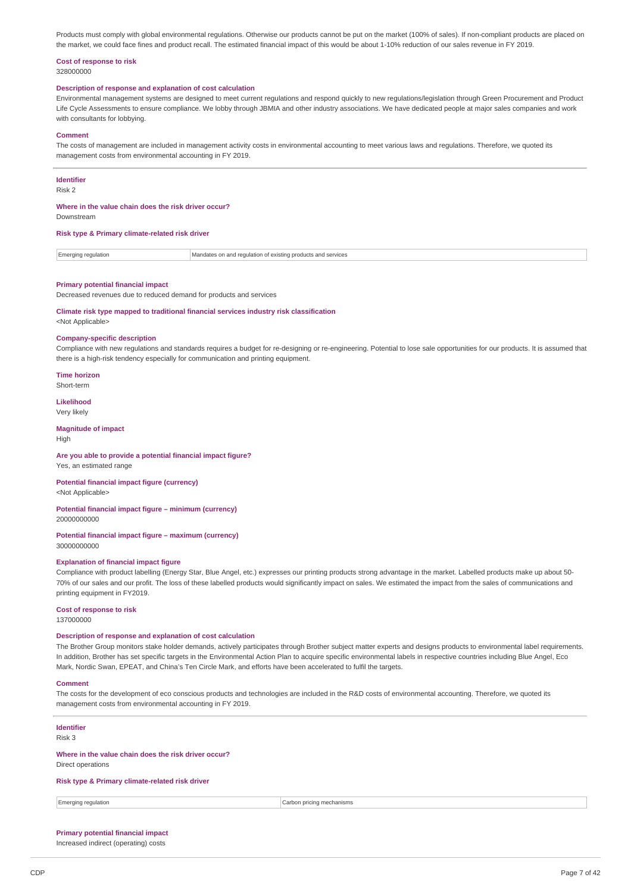Products must comply with global environmental regulations. Otherwise our products cannot be put on the market (100% of sales). If non-compliant products are placed on the market, we could face fines and product recall. The estimated financial impact of this would be about 1-10% reduction of our sales revenue in FY 2019.

# **Cost of response to risk**

328000000

## **Description of response and explanation of cost calculation**

Environmental management systems are designed to meet current regulations and respond quickly to new regulations/legislation through Green Procurement and Product Life Cycle Assessments to ensure compliance. We lobby through JBMIA and other industry associations. We have dedicated people at major sales companies and work with consultants for lobbying.

#### **Comment**

The costs of management are included in management activity costs in environmental accounting to meet various laws and regulations. Therefore, we quoted its management costs from environmental accounting in FY 2019.

### **Identifier**

Risk 2

## **Where in the value chain does the risk driver occur?**

Downstream

#### **Risk type & Primary climate-related risk driver**

Emerging regulation Mandates on and regulation of existing products and services

#### **Primary potential financial impact**

Decreased revenues due to reduced demand for products and services

#### **Climate risk type mapped to traditional financial services industry risk classification**

<Not Applicable>

## **Company-specific description**

Compliance with new regulations and standards requires a budget for re-designing or re-engineering. Potential to lose sale opportunities for our products. It is assumed that there is a high-risk tendency especially for communication and printing equipment.

**Time horizon** Short-term

# **Likelihood**

Very likely

#### **Magnitude of impact** High

# **Are you able to provide a potential financial impact figure?**

Yes, an estimated range

**Potential financial impact figure (currency)** <Not Applicable>

#### **Potential financial impact figure – minimum (currency)** 20000000000

# **Potential financial impact figure – maximum (currency)**

30000000000

# **Explanation of financial impact figure**

Compliance with product labelling (Energy Star, Blue Angel, etc.) expresses our printing products strong advantage in the market. Labelled products make up about 50- 70% of our sales and our profit. The loss of these labelled products would significantly impact on sales. We estimated the impact from the sales of communications and printing equipment in FY2019.

## **Cost of response to risk**

137000000

#### **Description of response and explanation of cost calculation**

The Brother Group monitors stake holder demands, actively participates through Brother subject matter experts and designs products to environmental label requirements. In addition, Brother has set specific targets in the Environmental Action Plan to acquire specific environmental labels in respective countries including Blue Angel, Eco Mark, Nordic Swan, EPEAT, and China's Ten Circle Mark, and efforts have been accelerated to fulfil the targets.

#### **Comment**

The costs for the development of eco conscious products and technologies are included in the R&D costs of environmental accounting. Therefore, we quoted its management costs from environmental accounting in FY 2019.

# **Identifier**

Risk 3

## **Where in the value chain does the risk driver occur?**

Direct operations

## **Risk type & Primary climate-related risk driver**

Emerging regulation **Carbon pricing mechanisms** Carbon pricing mechanisms

# **Primary potential financial impact**

Increased indirect (operating) costs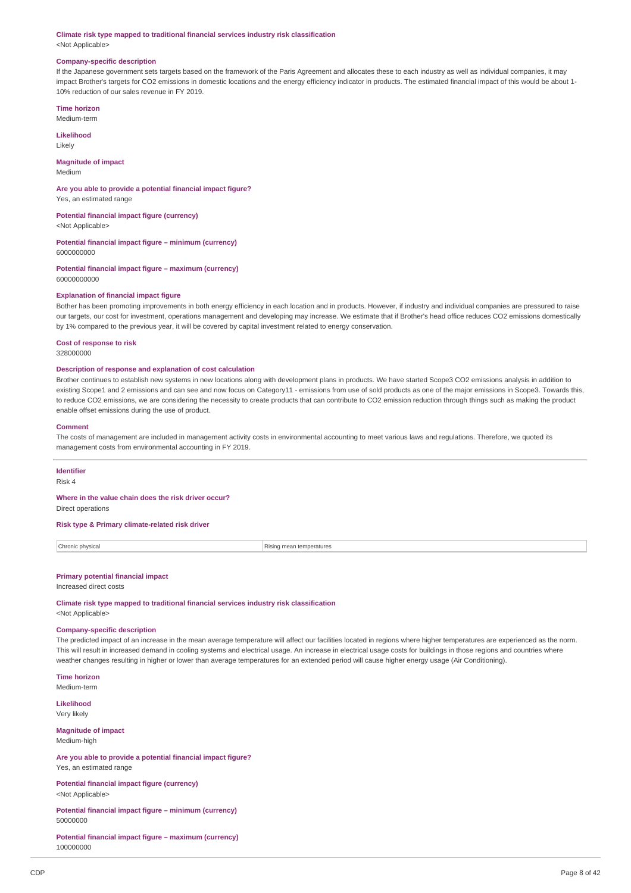#### **Climate risk type mapped to traditional financial services industry risk classification** <Not Applicable>

#### **Company-specific description**

If the Japanese government sets targets based on the framework of the Paris Agreement and allocates these to each industry as well as individual companies, it may impact Brother's targets for CO2 emissions in domestic locations and the energy efficiency indicator in products. The estimated financial impact of this would be about 1- 10% reduction of our sales revenue in FY 2019.

## **Time horizon**

Medium-term

**Likelihood** Likely

# **Magnitude of impact**

Medium

#### **Are you able to provide a potential financial impact figure?** Yes, an estimated range

**Potential financial impact figure (currency)**

<Not Applicable>

#### **Potential financial impact figure – minimum (currency)** 6000000000

**Potential financial impact figure – maximum (currency)** 60000000000

## **Explanation of financial impact figure**

Bother has been promoting improvements in both energy efficiency in each location and in products. However, if industry and individual companies are pressured to raise our targets, our cost for investment, operations management and developing may increase. We estimate that if Brother's head office reduces CO2 emissions domestically by 1% compared to the previous year, it will be covered by capital investment related to energy conservation.

# **Cost of response to risk**

328000000

## **Description of response and explanation of cost calculation**

Brother continues to establish new systems in new locations along with development plans in products. We have started Scope3 CO2 emissions analysis in addition to existing Scope1 and 2 emissions and can see and now focus on Category11 - emissions from use of sold products as one of the major emissions in Scope3. Towards this, to reduce CO2 emissions, we are considering the necessity to create products that can contribute to CO2 emission reduction through things such as making the product enable offset emissions during the use of product.

#### **Comment**

The costs of management are included in management activity costs in environmental accounting to meet various laws and regulations. Therefore, we quoted its management costs from environmental accounting in FY 2019.

# **Identifier**

Risk 4

### **Where in the value chain does the risk driver occur?**

Direct operations

# **Risk type & Primary climate-related risk driver**

| Chronic physical<br>. | Rising mean temperatures |
|-----------------------|--------------------------|
|                       |                          |

## **Primary potential financial impact**

Increased direct costs

**Climate risk type mapped to traditional financial services industry risk classification** <Not Applicable>

#### **Company-specific description**

The predicted impact of an increase in the mean average temperature will affect our facilities located in regions where higher temperatures are experienced as the norm. This will result in increased demand in cooling systems and electrical usage. An increase in electrical usage costs for buildings in those regions and countries where weather changes resulting in higher or lower than average temperatures for an extended period will cause higher energy usage (Air Conditioning).

**Time horizon**

Medium-term

**Likelihood** Very likely

**Magnitude of impact** Medium-high

**Are you able to provide a potential financial impact figure?** Yes, an estimated range

**Potential financial impact figure (currency)** <Not Applicable>

**Potential financial impact figure – minimum (currency)** 50000000

**Potential financial impact figure – maximum (currency)** 100000000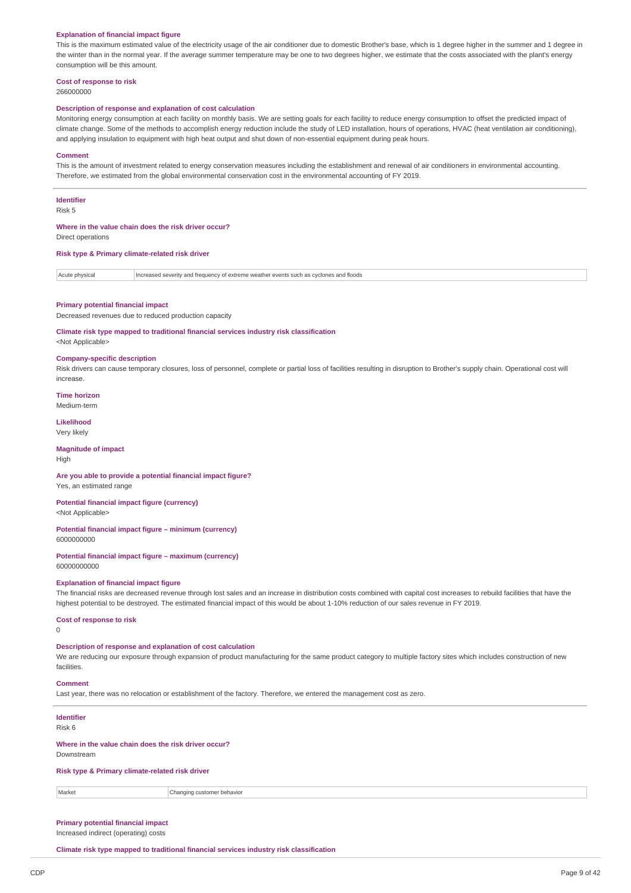#### **Explanation of financial impact figure**

This is the maximum estimated value of the electricity usage of the air conditioner due to domestic Brother's base, which is 1 degree higher in the summer and 1 degree in the winter than in the normal year. If the average summer temperature may be one to two degrees higher, we estimate that the costs associated with the plant's energy consumption will be this amount.

## **Cost of response to risk**

266000000

#### **Description of response and explanation of cost calculation**

Monitoring energy consumption at each facility on monthly basis. We are setting goals for each facility to reduce energy consumption to offset the predicted impact of climate change. Some of the methods to accomplish energy reduction include the study of LED installation, hours of operations, HVAC (heat ventilation air conditioning), and applying insulation to equipment with high heat output and shut down of non-essential equipment during peak hours.

#### **Comment**

This is the amount of investment related to energy conservation measures including the establishment and renewal of air conditioners in environmental accounting. Therefore, we estimated from the global environmental conservation cost in the environmental accounting of FY 2019.

#### **Identifier**

Risk 5

#### **Where in the value chain does the risk driver occur?** Direct operations

**Risk type & Primary climate-related risk driver**

Acute physical Increased severity and frequency of extreme weather events such as cyclones and floods

#### **Primary potential financial impact**

Decreased revenues due to reduced production capacity

**Climate risk type mapped to traditional financial services industry risk classification**

<Not Applicable>

#### **Company-specific description**

Risk drivers can cause temporary closures, loss of personnel, complete or partial loss of facilities resulting in disruption to Brother's supply chain. Operational cost will increase.

**Time horizon** Medium-term

## **Likelihood**

Very likely

## **Magnitude of impact** High

#### **Are you able to provide a potential financial impact figure?** Yes, an estimated range

**Potential financial impact figure (currency)**

<Not Applicable> **Potential financial impact figure – minimum (currency)**

6000000000

**Potential financial impact figure – maximum (currency)** 60000000000

#### **Explanation of financial impact figure**

The financial risks are decreased revenue through lost sales and an increase in distribution costs combined with capital cost increases to rebuild facilities that have the highest potential to be destroyed. The estimated financial impact of this would be about 1-10% reduction of our sales revenue in FY 2019.

## **Cost of response to risk**

 $\Omega$ 

## **Description of response and explanation of cost calculation**

We are reducing our exposure through expansion of product manufacturing for the same product category to multiple factory sites which includes construction of new facilities

#### **Comment**

Last year, there was no relocation or establishment of the factory. Therefore, we entered the management cost as zero.

## **Identifier**

Risk 6

## **Where in the value chain does the risk driver occur?**

Downstream

**Risk type & Primary climate-related risk driver**

Market Changing customer behavior

## **Primary potential financial impact** Increased indirect (operating) costs

**Climate risk type mapped to traditional financial services industry risk classification**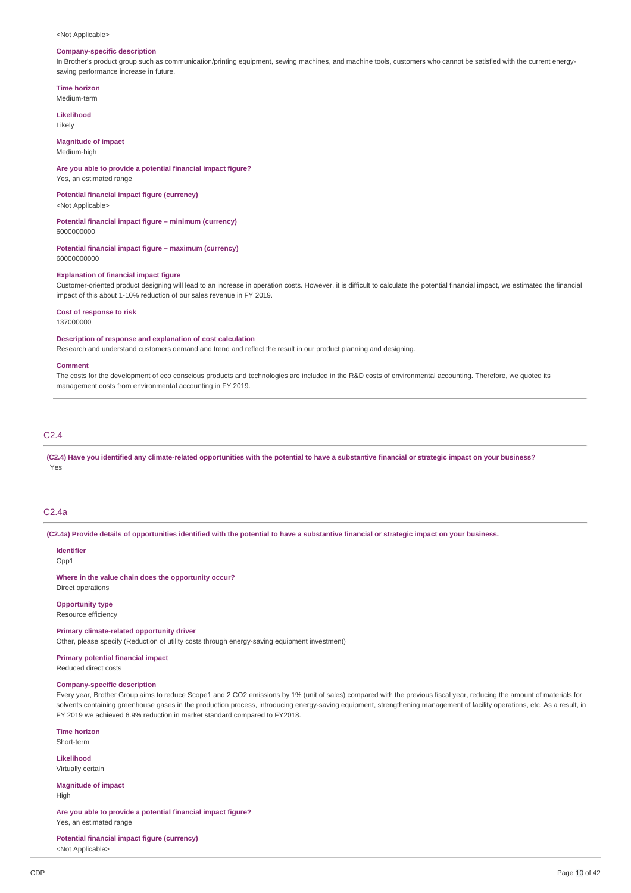#### <Not Applicable>

## **Company-specific description**

In Brother's product group such as communication/printing equipment, sewing machines, and machine tools, customers who cannot be satisfied with the current energysaving performance increase in future.

## **Time horizon**

Medium-term

**Likelihood** Likely

**Magnitude of impact**

Medium-high

## **Are you able to provide a potential financial impact figure?**

Yes, an estimated range

## **Potential financial impact figure (currency)**

<Not Applicable>

# **Potential financial impact figure – minimum (currency)**

6000000000

**Potential financial impact figure – maximum (currency)** 60000000000

#### **Explanation of financial impact figure**

Customer-oriented product designing will lead to an increase in operation costs. However, it is difficult to calculate the potential financial impact, we estimated the financial impact of this about 1-10% reduction of our sales revenue in FY 2019.

#### **Cost of response to risk**

137000000

## **Description of response and explanation of cost calculation**

Research and understand customers demand and trend and reflect the result in our product planning and designing.

### **Comment**

The costs for the development of eco conscious products and technologies are included in the R&D costs of environmental accounting. Therefore, we quoted its management costs from environmental accounting in FY 2019.

# C2.4

(C2.4) Have you identified any climate-related opportunities with the potential to have a substantive financial or strategic impact on your business? Yes

# C2.4a

(C2.4a) Provide details of opportunities identified with the potential to have a substantive financial or strategic impact on your business.

# **Identifier**

Opp1

## **Where in the value chain does the opportunity occur?**

Direct operations

# **Opportunity type**

Resource efficiency

## **Primary climate-related opportunity driver**

Other, please specify (Reduction of utility costs through energy-saving equipment investment)

**Primary potential financial impact** Reduced direct costs

#### **Company-specific description**

Every year, Brother Group aims to reduce Scope1 and 2 CO2 emissions by 1% (unit of sales) compared with the previous fiscal year, reducing the amount of materials for solvents containing greenhouse gases in the production process, introducing energy-saving equipment, strengthening management of facility operations, etc. As a result, in FY 2019 we achieved 6.9% reduction in market standard compared to FY2018.

**Time horizon** Short-term

**Likelihood**

Virtually certain

**Magnitude of impact** High

**Are you able to provide a potential financial impact figure?** Yes, an estimated range

**Potential financial impact figure (currency)**

<Not Applicable>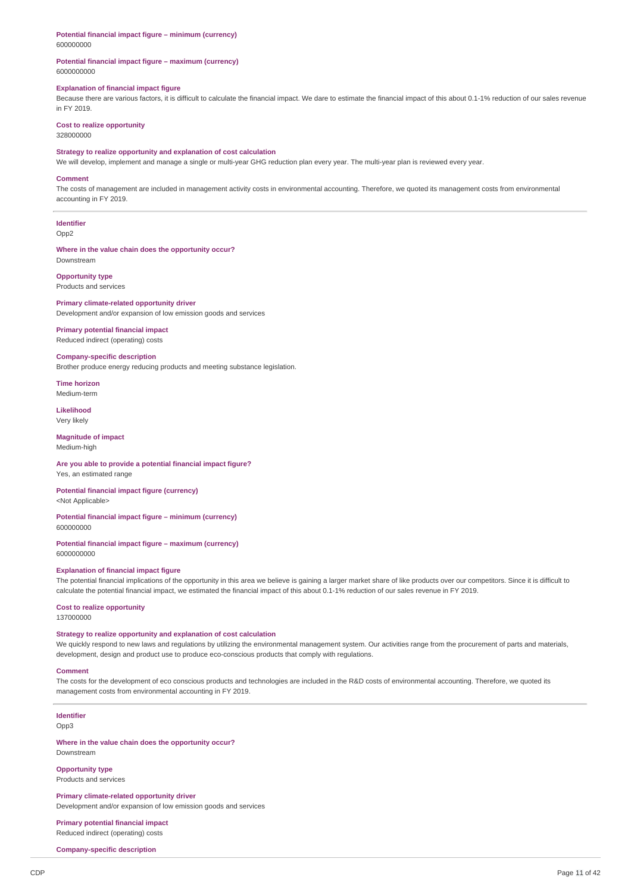**Potential financial impact figure – minimum (currency)** 600000000

## **Potential financial impact figure – maximum (currency)** 6000000000

## **Explanation of financial impact figure**

Because there are various factors, it is difficult to calculate the financial impact. We dare to estimate the financial impact of this about 0.1-1% reduction of our sales revenue in FY 2019.

# **Cost to realize opportunity**

328000000

# **Strategy to realize opportunity and explanation of cost calculation**

We will develop, implement and manage a single or multi-year GHG reduction plan every year. The multi-year plan is reviewed every year.

#### **Comment**

The costs of management are included in management activity costs in environmental accounting. Therefore, we quoted its management costs from environmental accounting in FY 2019.

**Identifier** Opp2

**Where in the value chain does the opportunity occur?** Downstream

#### **Opportunity type** Products and services

### **Primary climate-related opportunity driver** Development and/or expansion of low emission goods and services

**Primary potential financial impact** Reduced indirect (operating) costs

## **Company-specific description**

Brother produce energy reducing products and meeting substance legislation.

**Time horizon** Medium-term

**Likelihood** Very likely

## **Magnitude of impact** Medium-high

**Are you able to provide a potential financial impact figure?** Yes, an estimated range

**Potential financial impact figure (currency)** <Not Applicable>

#### **Potential financial impact figure – minimum (currency)** 600000000

#### **Potential financial impact figure – maximum (currency)** 6000000000

#### **Explanation of financial impact figure**

The potential financial implications of the opportunity in this area we believe is gaining a larger market share of like products over our competitors. Since it is difficult to calculate the potential financial impact, we estimated the financial impact of this about 0.1-1% reduction of our sales revenue in FY 2019.

## **Cost to realize opportunity**

137000000

## **Strategy to realize opportunity and explanation of cost calculation**

We quickly respond to new laws and regulations by utilizing the environmental management system. Our activities range from the procurement of parts and materials, development, design and product use to produce eco-conscious products that comply with regulations.

#### **Comment**

The costs for the development of eco conscious products and technologies are included in the R&D costs of environmental accounting. Therefore, we quoted its management costs from environmental accounting in FY 2019.

# **Identifier**

Opp3

**Where in the value chain does the opportunity occur?** Downstream

#### **Opportunity type** Products and services

**Primary climate-related opportunity driver** Development and/or expansion of low emission goods and services

**Primary potential financial impact** Reduced indirect (operating) costs

**Company-specific description**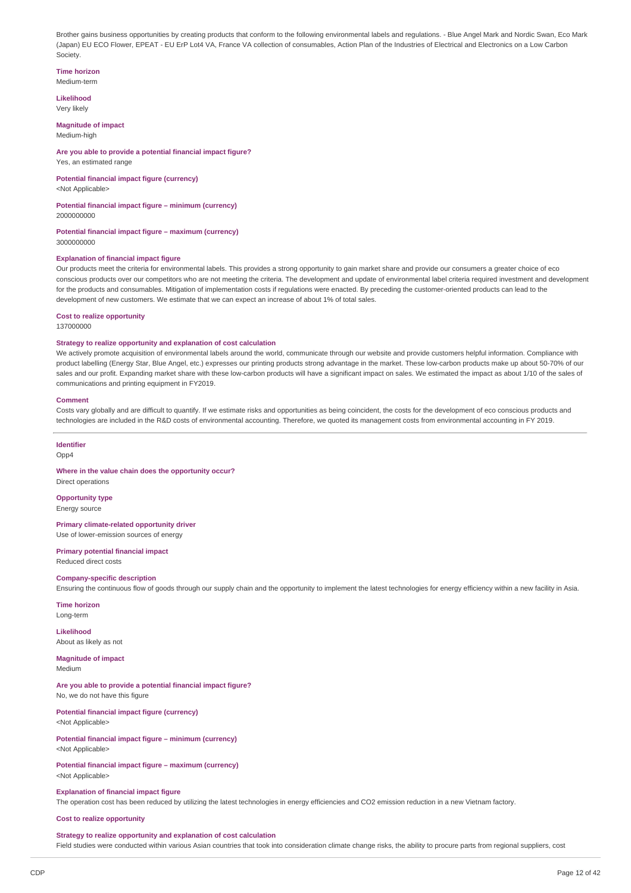Brother gains business opportunities by creating products that conform to the following environmental labels and regulations. - Blue Angel Mark and Nordic Swan, Eco Mark (Japan) EU ECO Flower, EPEAT - EU ErP Lot4 VA, France VA collection of consumables, Action Plan of the Industries of Electrical and Electronics on a Low Carbon Society.

#### **Time horizon**

Medium-term

**Likelihood** Very likely

## **Magnitude of impact**

Medium-high

## **Are you able to provide a potential financial impact figure?** Yes, an estimated range

**Potential financial impact figure (currency)**

<Not Applicable>

#### **Potential financial impact figure – minimum (currency)** 2000000000

**Potential financial impact figure – maximum (currency)**

3000000000

## **Explanation of financial impact figure**

Our products meet the criteria for environmental labels. This provides a strong opportunity to gain market share and provide our consumers a greater choice of eco conscious products over our competitors who are not meeting the criteria. The development and update of environmental label criteria required investment and development for the products and consumables. Mitigation of implementation costs if regulations were enacted. By preceding the customer-oriented products can lead to the development of new customers. We estimate that we can expect an increase of about 1% of total sales.

#### **Cost to realize opportunity**

137000000

## **Strategy to realize opportunity and explanation of cost calculation**

We actively promote acquisition of environmental labels around the world, communicate through our website and provide customers helpful information. Compliance with product labelling (Energy Star, Blue Angel, etc.) expresses our printing products strong advantage in the market. These low-carbon products make up about 50-70% of our sales and our profit. Expanding market share with these low-carbon products will have a significant impact on sales. We estimated the impact as about 1/10 of the sales of communications and printing equipment in FY2019.

#### **Comment**

Costs vary globally and are difficult to quantify. If we estimate risks and opportunities as being coincident, the costs for the development of eco conscious products and technologies are included in the R&D costs of environmental accounting. Therefore, we quoted its management costs from environmental accounting in FY 2019.

#### **Identifier**

Opp4

## **Where in the value chain does the opportunity occur?** Direct operations

**Opportunity type** Energy source

## **Primary climate-related opportunity driver** Use of lower-emission sources of energy

**Primary potential financial impact** Reduced direct costs

## **Company-specific description**

Ensuring the continuous flow of goods through our supply chain and the opportunity to implement the latest technologies for energy efficiency within a new facility in Asia.

# **Time horizon**

Long-term

#### **Likelihood** About as likely as not

**Magnitude of impact** Medium

## **Are you able to provide a potential financial impact figure?** No, we do not have this figure

**Potential financial impact figure (currency)** <Not Applicable>

## **Potential financial impact figure – minimum (currency)** <Not Applicable>

**Potential financial impact figure – maximum (currency)** <Not Applicable>

## **Explanation of financial impact figure**

The operation cost has been reduced by utilizing the latest technologies in energy efficiencies and CO2 emission reduction in a new Vietnam factory.

## **Cost to realize opportunity**

## **Strategy to realize opportunity and explanation of cost calculation**

Field studies were conducted within various Asian countries that took into consideration climate change risks, the ability to procure parts from regional suppliers, cost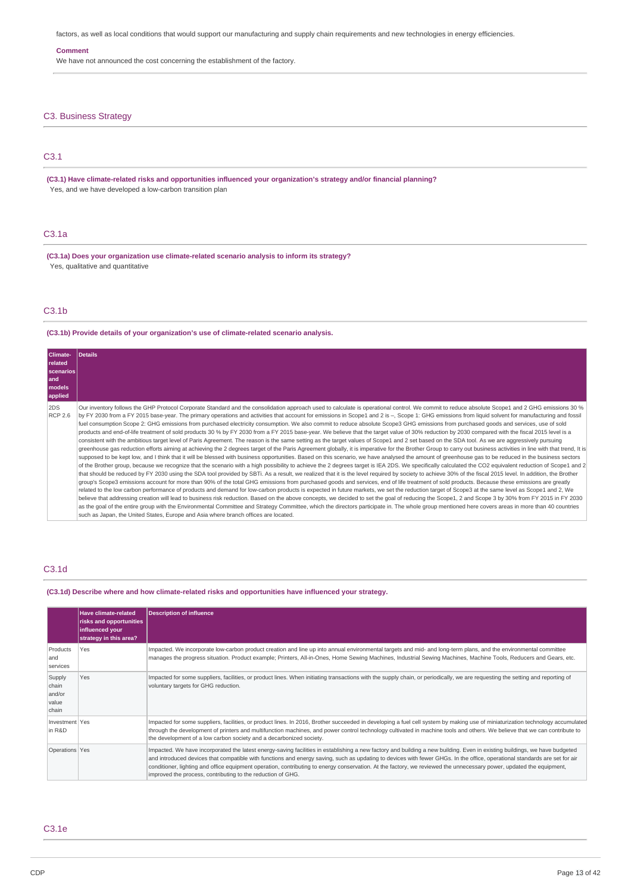factors, as well as local conditions that would support our manufacturing and supply chain requirements and new technologies in energy efficiencies.

## **Comment**

We have not announced the cost concerning the establishment of the factory.

# C3. Business Strategy

# C3.1

**(C3.1) Have climate-related risks and opportunities influenced your organization's strategy and/or financial planning?** Yes, and we have developed a low-carbon transition plan

# C3.1a

**(C3.1a) Does your organization use climate-related scenario analysis to inform its strategy?** Yes, qualitative and quantitative

# C3.1b

## **(C3.1b) Provide details of your organization's use of climate-related scenario analysis.**

| Climate-<br>related<br><b>scenarios</b><br>land<br><b>models</b><br>applied | <b>Details</b>                                                                                                                                                                                                                                                                                                                                                                                                                                                                                                                                                                                                                                                                                                                                                                                                                                                                                                                                                                                                                                                                                                                                                                                                                                                                                                                                                                                                                                                                                                                                                                                                                                                                                                                                                                                                                                                                                                                                                                                                                                                                                                                                                                                                                                                                                                                                                                                                                                                                                                                                                                                                                                                                                                                                                      |
|-----------------------------------------------------------------------------|---------------------------------------------------------------------------------------------------------------------------------------------------------------------------------------------------------------------------------------------------------------------------------------------------------------------------------------------------------------------------------------------------------------------------------------------------------------------------------------------------------------------------------------------------------------------------------------------------------------------------------------------------------------------------------------------------------------------------------------------------------------------------------------------------------------------------------------------------------------------------------------------------------------------------------------------------------------------------------------------------------------------------------------------------------------------------------------------------------------------------------------------------------------------------------------------------------------------------------------------------------------------------------------------------------------------------------------------------------------------------------------------------------------------------------------------------------------------------------------------------------------------------------------------------------------------------------------------------------------------------------------------------------------------------------------------------------------------------------------------------------------------------------------------------------------------------------------------------------------------------------------------------------------------------------------------------------------------------------------------------------------------------------------------------------------------------------------------------------------------------------------------------------------------------------------------------------------------------------------------------------------------------------------------------------------------------------------------------------------------------------------------------------------------------------------------------------------------------------------------------------------------------------------------------------------------------------------------------------------------------------------------------------------------------------------------------------------------------------------------------------------------|
| 2DS<br><b>RCP 2.6</b>                                                       | Our inventory follows the GHP Protocol Corporate Standard and the consolidation approach used to calculate is operational control. We commit to reduce absolute Scope1 and 2 GHG emissions 30 %<br>by FY 2030 from a FY 2015 base-year. The primary operations and activities that account for emissions in Scope1 and 2 is -, Scope 1: GHG emissions from liquid solvent for manufacturing and fossil<br>fuel consumption Scope 2: GHG emissions from purchased electricity consumption. We also commit to reduce absolute Scope3 GHG emissions from purchased goods and services, use of sold<br>products and end-of-life treatment of sold products 30 % by FY 2030 from a FY 2015 base-year. We believe that the target value of 30% reduction by 2030 compared with the fiscal 2015 level is a<br>consistent with the ambitious target level of Paris Agreement. The reason is the same setting as the target values of Scope1 and 2 set based on the SDA tool. As we are aggressively pursuing<br>greenhouse gas reduction efforts aiming at achieving the 2 degrees target of the Paris Agreement globally, it is imperative for the Brother Group to carry out business activities in line with that trend, It is<br>supposed to be kept low, and I think that it will be blessed with business opportunities. Based on this scenario, we have analysed the amount of greenhouse gas to be reduced in the business sectors<br>of the Brother group, because we recognize that the scenario with a high possibility to achieve the 2 degrees target is IEA 2DS. We specifically calculated the CO2 equivalent reduction of Scope1 and 2<br>that should be reduced by FY 2030 using the SDA tool provided by SBTi. As a result, we realized that it is the level required by society to achieve 30% of the fiscal 2015 level. In addition, the Brother<br>group's Scope3 emissions account for more than 90% of the total GHG emissions from purchased goods and services, end of life treatment of sold products. Because these emissions are greatly<br>related to the low carbon performance of products and demand for low-carbon products is expected in future markets, we set the reduction target of Scope3 at the same level as Scope1 and 2, We<br>believe that addressing creation will lead to business risk reduction. Based on the above concepts, we decided to set the goal of reducing the Scope1, 2 and Scope 3 by 30% from FY 2015 in FY 2030<br>as the goal of the entire group with the Environmental Committee and Strategy Committee, which the directors participate in. The whole group mentioned here covers areas in more than 40 countries<br>such as Japan, the United States, Europe and Asia where branch offices are located. |

# C3.1d

**(C3.1d) Describe where and how climate-related risks and opportunities have influenced your strategy.**

|                                             | <b>Have climate-related</b><br>risks and opportunities<br>influenced your<br>strategy in this area? | Description of influence                                                                                                                                                                                                                                                                                                                                                                                                                                                                                                                                                                        |
|---------------------------------------------|-----------------------------------------------------------------------------------------------------|-------------------------------------------------------------------------------------------------------------------------------------------------------------------------------------------------------------------------------------------------------------------------------------------------------------------------------------------------------------------------------------------------------------------------------------------------------------------------------------------------------------------------------------------------------------------------------------------------|
| Products<br>land<br>services                | Yes.                                                                                                | Impacted. We incorporate low-carbon product creation and line up into annual environmental targets and mid- and long-term plans, and the environmental committee<br>manages the progress situation. Product example; Printers, All-in-Ones, Home Sewing Machines, Industrial Sewing Machines, Machine Tools, Reducers and Gears, etc.                                                                                                                                                                                                                                                           |
| Supply<br>chain<br>and/or<br>value<br>chain | Yes                                                                                                 | Impacted for some suppliers, facilities, or product lines. When initiating transactions with the supply chain, or periodically, we are requesting the setting and reporting of<br>voluntary targets for GHG reduction.                                                                                                                                                                                                                                                                                                                                                                          |
| Investment Yes<br>in R&D                    |                                                                                                     | Impacted for some suppliers, facilities, or product lines. In 2016, Brother succeeded in developing a fuel cell system by making use of miniaturization technology accumulated<br>through the development of printers and multifunction machines, and power control technology cultivated in machine tools and others. We believe that we can contribute to<br>the development of a low carbon society and a decarbonized society.                                                                                                                                                              |
| Operations Yes                              |                                                                                                     | Impacted. We have incorporated the latest energy-saving facilities in establishing a new factory and building a new building. Even in existing buildings, we have budgeted<br>and introduced devices that compatible with functions and energy saving, such as updating to devices with fewer GHGs. In the office, operational standards are set for air<br>conditioner, lighting and office equipment operation, contributing to energy conservation. At the factory, we reviewed the unnecessary power, updated the equipment,<br>improved the process, contributing to the reduction of GHG. |

## C3.1e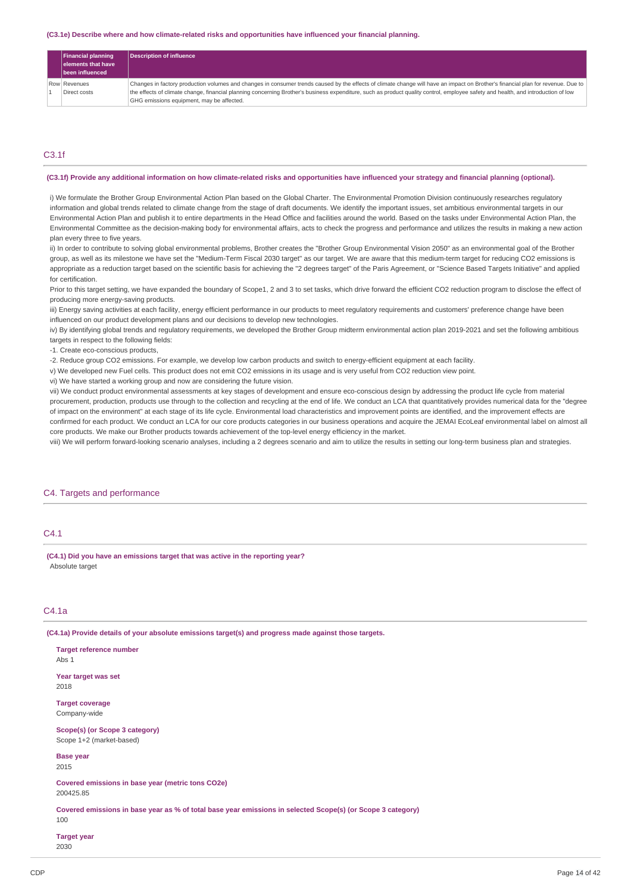#### **(C3.1e) Describe where and how climate-related risks and opportunities have influenced your financial planning.**

| <b>Financial planning</b><br>elements that have<br>been influenced | <b>Description of influence</b>                                                                                                                                                   |
|--------------------------------------------------------------------|-----------------------------------------------------------------------------------------------------------------------------------------------------------------------------------|
| Row Revenues                                                       | Changes in factory production volumes and changes in consumer trends caused by the effects of climate change will have an impact on Brother's financial plan for revenue. Due to  |
| Direct costs                                                       | the effects of climate change, financial planning concerning Brother's business expenditure, such as product quality control, employee safety and health, and introduction of low |
|                                                                    | GHG emissions equipment, may be affected.                                                                                                                                         |

## C3.1f

#### (C3.1f) Provide any additional information on how climate-related risks and opportunities have influenced your strategy and financial planning (optional).

i) We formulate the Brother Group Environmental Action Plan based on the Global Charter. The Environmental Promotion Division continuously researches regulatory information and global trends related to climate change from the stage of draft documents. We identify the important issues, set ambitious environmental targets in our Environmental Action Plan and publish it to entire departments in the Head Office and facilities around the world. Based on the tasks under Environmental Action Plan, the Environmental Committee as the decision-making body for environmental affairs, acts to check the progress and performance and utilizes the results in making a new action plan every three to five years.

ii) In order to contribute to solving global environmental problems, Brother creates the "Brother Group Environmental Vision 2050" as an environmental goal of the Brother group, as well as its milestone we have set the "Medium-Term Fiscal 2030 target" as our target. We are aware that this medium-term target for reducing CO2 emissions is appropriate as a reduction target based on the scientific basis for achieving the "2 degrees target" of the Paris Agreement, or "Science Based Targets Initiative" and applied for certification.

Prior to this target setting, we have expanded the boundary of Scope1, 2 and 3 to set tasks, which drive forward the efficient CO2 reduction program to disclose the effect of producing more energy-saving products.

iii) Energy saving activities at each facility, energy efficient performance in our products to meet regulatory requirements and customers' preference change have been influenced on our product development plans and our decisions to develop new technologies.

iv) By identifying global trends and regulatory requirements, we developed the Brother Group midterm environmental action plan 2019-2021 and set the following ambitious targets in respect to the following fields:

-1. Create eco-conscious products,

-2. Reduce group CO2 emissions. For example, we develop low carbon products and switch to energy-efficient equipment at each facility.

v) We developed new Fuel cells. This product does not emit CO2 emissions in its usage and is very useful from CO2 reduction view point.

vi) We have started a working group and now are considering the future vision.

vii) We conduct product environmental assessments at key stages of development and ensure eco-conscious design by addressing the product life cycle from material procurement, production, products use through to the collection and recycling at the end of life. We conduct an LCA that quantitatively provides numerical data for the "degree of impact on the environment" at each stage of its life cycle. Environmental load characteristics and improvement points are identified, and the improvement effects are confirmed for each product. We conduct an LCA for our core products categories in our business operations and acquire the JEMAI EcoLeaf environmental label on almost all core products. We make our Brother products towards achievement of the top-level energy efficiency in the market.

viii) We will perform forward-looking scenario analyses, including a 2 degrees scenario and aim to utilize the results in setting our long-term business plan and strategies.

## C4. Targets and performance

# C4.1

**(C4.1) Did you have an emissions target that was active in the reporting year?** Absolute target

# C4.1a

**(C4.1a) Provide details of your absolute emissions target(s) and progress made against those targets.**

| <b>Target reference number</b><br>Abs 1                                                                            |
|--------------------------------------------------------------------------------------------------------------------|
| Year target was set<br>2018                                                                                        |
| <b>Target coverage</b><br>Company-wide                                                                             |
| Scope(s) (or Scope 3 category)<br>Scope 1+2 (market-based)                                                         |
| <b>Base year</b><br>2015                                                                                           |
| Covered emissions in base year (metric tons CO2e)<br>200425.85                                                     |
| Covered emissions in base year as % of total base year emissions in selected Scope(s) (or Scope 3 category)<br>100 |
| <b>Target year</b><br>2030                                                                                         |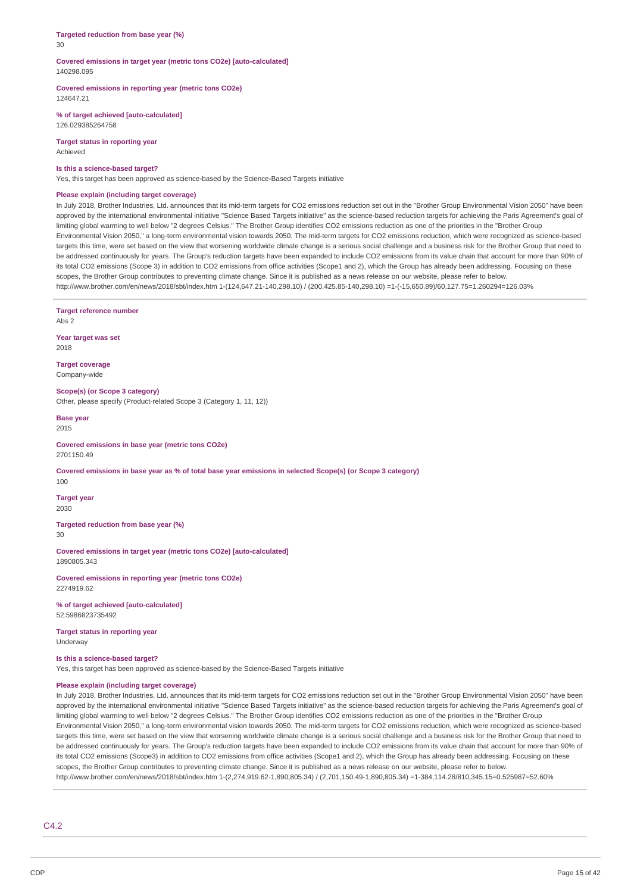#### **Targeted reduction from base year (%)** 30

## **Covered emissions in target year (metric tons CO2e) [auto-calculated]** 140298.095

**Covered emissions in reporting year (metric tons CO2e)** 124647.21

**% of target achieved [auto-calculated]** 126.029385264758

**Target status in reporting year** Achieved

#### **Is this a science-based target?**

Yes, this target has been approved as science-based by the Science-Based Targets initiative

### **Please explain (including target coverage)**

In July 2018, Brother Industries, Ltd. announces that its mid-term targets for CO2 emissions reduction set out in the "Brother Group Environmental Vision 2050" have been approved by the international environmental initiative "Science Based Targets initiative" as the science-based reduction targets for achieving the Paris Agreement's goal of limiting global warming to well below "2 degrees Celsius." The Brother Group identifies CO2 emissions reduction as one of the priorities in the "Brother Group Environmental Vision 2050," a long-term environmental vision towards 2050. The mid-term targets for CO2 emissions reduction, which were recognized as science-based targets this time, were set based on the view that worsening worldwide climate change is a serious social challenge and a business risk for the Brother Group that need to be addressed continuously for years. The Group's reduction targets have been expanded to include CO2 emissions from its value chain that account for more than 90% of its total CO2 emissions (Scope 3) in addition to CO2 emissions from office activities (Scope1 and 2), which the Group has already been addressing. Focusing on these scopes, the Brother Group contributes to preventing climate change. Since it is published as a news release on our website, please refer to below. http://www.brother.com/en/news/2018/sbt/index.htm 1-(124,647.21-140,298.10) / (200,425.85-140,298.10) =1-(-15,650.89)/60,127.75=1.260294=126.03%

**Target reference number** Abs 2 **Year target was set** 2018 **Target coverage** Company-wide **Scope(s) (or Scope 3 category)** Other, please specify (Product-related Scope 3 (Category 1, 11, 12)) **Base year** 2015 **Covered emissions in base year (metric tons CO2e)** 2701150.49 Covered emissions in base year as % of total base year emissions in selected Scope(s) (or Scope 3 category) 100 **Target year** 2030 **Targeted reduction from base year (%)** 30 **Covered emissions in target year (metric tons CO2e) [auto-calculated]** 1890805.343 **Covered emissions in reporting year (metric tons CO2e)** 2274919.62 **% of target achieved [auto-calculated]** 52.5986823735492 **Target status in reporting year** Underway **Is this a science-based target?** Yes, this target has been approved as science-based by the Science-Based Targets initiative **Please explain (including target coverage)** In July 2018, Brother Industries, Ltd. announces that its mid-term targets for CO2 emissions reduction set out in the "Brother Group Environmental Vision 2050" have been approved by the international environmental initiative "Science Based Targets initiative" as the science-based reduction targets for achieving the Paris Agreement's goal of limiting global warming to well below "2 degrees Celsius." The Brother Group identifies CO2 emissions reduction as one of the priorities in the "Brother Group Environmental Vision 2050," a long-term environmental vision towards 2050. The mid-term targets for CO2 emissions reduction, which were recognized as science-based targets this time, were set based on the view that worsening worldwide climate change is a serious social challenge and a business risk for the Brother Group that need to be addressed continuously for years. The Group's reduction targets have been expanded to include CO2 emissions from its value chain that account for more than 90% of its total CO2 emissions (Scope3) in addition to CO2 emissions from office activities (Scope1 and 2), which the Group has already been addressing. Focusing on these scopes, the Brother Group contributes to preventing climate change. Since it is published as a news release on our website, please refer to below.

http://www.brother.com/en/news/2018/sbt/index.htm 1-(2,274,919.62-1,890,805.34) / (2,701,150.49-1,890,805.34) =1-384,114.28/810,345.15=0.525987=52.60%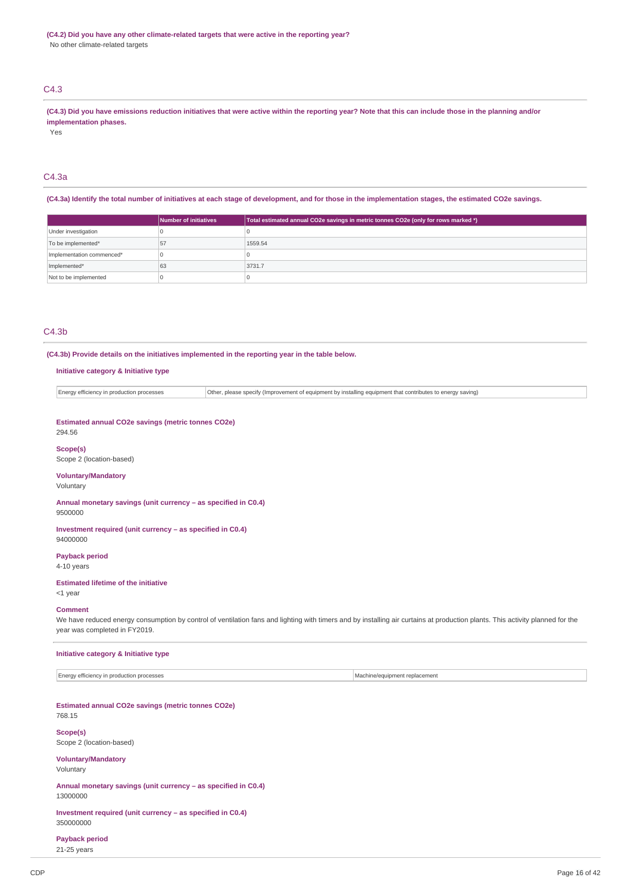# C4.3

(C4.3) Did you have emissions reduction initiatives that were active within the reporting year? Note that this can include those in the planning and/or **implementation phases.**

Yes

# C4.3a

(C4.3a) Identify the total number of initiatives at each stage of development, and for those in the implementation stages, the estimated CO2e savings.

|                           | <b>Number of initiatives</b> | Total estimated annual CO2e savings in metric tonnes CO2e (only for rows marked *) |  |  |
|---------------------------|------------------------------|------------------------------------------------------------------------------------|--|--|
| Under investigation       |                              |                                                                                    |  |  |
| To be implemented*        | 57                           | 1559.54                                                                            |  |  |
| Implementation commenced* |                              |                                                                                    |  |  |
| Implemented*              | 63                           | 3731.7                                                                             |  |  |
| Not to be implemented     |                              |                                                                                    |  |  |

# $C4.3<sub>b</sub>$

**(C4.3b) Provide details on the initiatives implemented in the reporting year in the table below.**

## **Initiative category & Initiative type**

Energy efficiency in production processes Other, please specify (Improvement of equipment by installing equipment that contributes to energy saving)

**Estimated annual CO2e savings (metric tonnes CO2e)** 294.56

## **Scope(s)**

Scope 2 (location-based)

# **Voluntary/Mandatory**

Voluntary

**Annual monetary savings (unit currency – as specified in C0.4)** 9500000

**Investment required (unit currency – as specified in C0.4)** 94000000

**Payback period**

4-10 years

#### **Estimated lifetime of the initiative** <1 year

**Comment** We have reduced energy consumption by control of ventilation fans and lighting with timers and by installing air curtains at production plants. This activity planned for the year was completed in FY2019.

## **Initiative category & Initiative type**

Energy efficiency in production processes  $\blacksquare$ 

#### **Estimated annual CO2e savings (metric tonnes CO2e)** 768.15

**Scope(s)**

# Scope 2 (location-based)

**Voluntary/Mandatory**

Voluntary

**Annual monetary savings (unit currency – as specified in C0.4)** 13000000

**Investment required (unit currency – as specified in C0.4)** 350000000

**Payback period** 21-25 years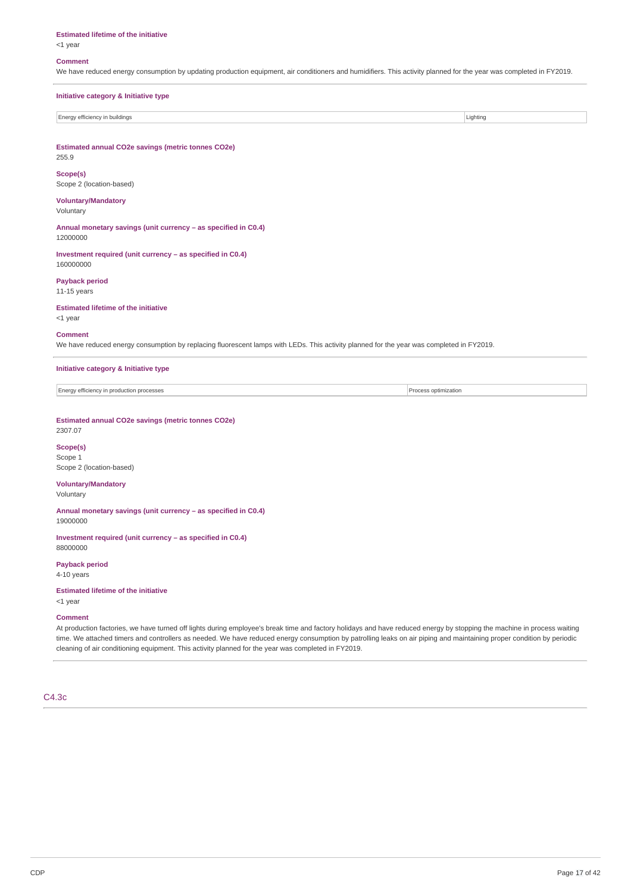#### **Estimated lifetime of the initiative**

<1 year

#### **Comment**

We have reduced energy consumption by updating production equipment, air conditioners and humidifiers. This activity planned for the year was completed in FY2019.

| Initiative category & Initiative type |          |
|---------------------------------------|----------|
|                                       |          |
| Energy efficiency in buildings        | Lighting |

**Estimated annual CO2e savings (metric tonnes CO2e)** 255.9

**Scope(s)** Scope 2 (location-based)

# **Voluntary/Mandatory**

Voluntary

**Annual monetary savings (unit currency – as specified in C0.4)** 12000000

**Investment required (unit currency – as specified in C0.4)** 160000000

**Payback period** 11-15 years

**Estimated lifetime of the initiative** <1 year

#### **Comment**

We have reduced energy consumption by replacing fluorescent lamps with LEDs. This activity planned for the year was completed in FY2019.

**Initiative category & Initiative type**

Energy efficiency in production processes Process optimization

**Estimated annual CO2e savings (metric tonnes CO2e)**

2307.07

**Scope(s)** Scope 1 Scope 2 (location-based)

# **Voluntary/Mandatory**

Voluntary

**Annual monetary savings (unit currency – as specified in C0.4)** 19000000

**Investment required (unit currency – as specified in C0.4)** 88000000

**Payback period** 4-10 years

#### **Estimated lifetime of the initiative**

<1 year

#### **Comment**

At production factories, we have turned off lights during employee's break time and factory holidays and have reduced energy by stopping the machine in process waiting time. We attached timers and controllers as needed. We have reduced energy consumption by patrolling leaks on air piping and maintaining proper condition by periodic cleaning of air conditioning equipment. This activity planned for the year was completed in FY2019.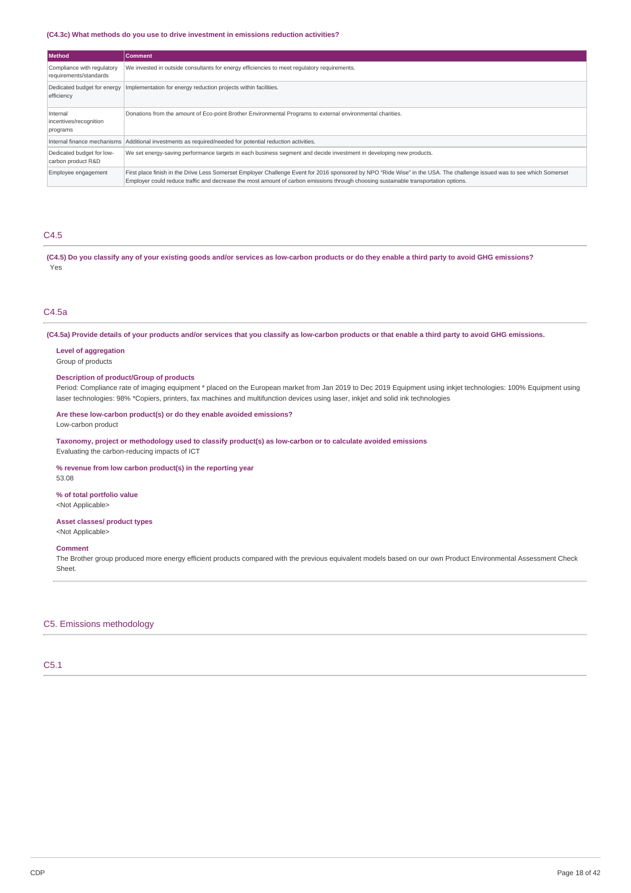## **(C4.3c) What methods do you use to drive investment in emissions reduction activities?**

| <b>Method</b>                                        | <b>Comment</b>                                                                                                                                                                                                                                                                                                 |
|------------------------------------------------------|----------------------------------------------------------------------------------------------------------------------------------------------------------------------------------------------------------------------------------------------------------------------------------------------------------------|
| Compliance with regulatory<br>requirements/standards | We invested in outside consultants for energy efficiencies to meet requlatory requirements.                                                                                                                                                                                                                    |
| Dedicated budget for energy<br>efficiency            | Implementation for energy reduction projects within facilities.                                                                                                                                                                                                                                                |
| Internal<br>incentives/recognition<br>programs       | Donations from the amount of Eco-point Brother Environmental Programs to external environmental charities.                                                                                                                                                                                                     |
| Internal finance mechanisms                          | Additional investments as required/needed for potential reduction activities.                                                                                                                                                                                                                                  |
| Dedicated budget for low-<br>carbon product R&D      | We set energy-saving performance targets in each business segment and decide investment in developing new products.                                                                                                                                                                                            |
| Employee engagement                                  | First place finish in the Drive Less Somerset Employer Challenge Event for 2016 sponsored by NPO "Ride Wise" in the USA. The challenge issued was to see which Somerset<br>Employer could reduce traffic and decrease the most amount of carbon emissions through choosing sustainable transportation options. |

# C4.5

(C4.5) Do you classify any of your existing goods and/or services as low-carbon products or do they enable a third party to avoid GHG emissions? Yes

# C4.5a

(C4.5a) Provide details of your products and/or services that you classify as low-carbon products or that enable a third party to avoid GHG emissions.

# **Level of aggregation**

Group of products

# **Description of product/Group of products**

Period: Compliance rate of imaging equipment \* placed on the European market from Jan 2019 to Dec 2019 Equipment using inkjet technologies: 100% Equipment using laser technologies: 98% \*Copiers, printers, fax machines and multifunction devices using laser, inkjet and solid ink technologies

## **Are these low-carbon product(s) or do they enable avoided emissions?** Low-carbon product

**Taxonomy, project or methodology used to classify product(s) as low-carbon or to calculate avoided emissions**

Evaluating the carbon-reducing impacts of ICT

## **% revenue from low carbon product(s) in the reporting year**

53.08

# **% of total portfolio value**

<Not Applicable>

# **Asset classes/ product types**

<Not Applicable>

## **Comment**

The Brother group produced more energy efficient products compared with the previous equivalent models based on our own Product Environmental Assessment Check Sheet.

# C5. Emissions methodology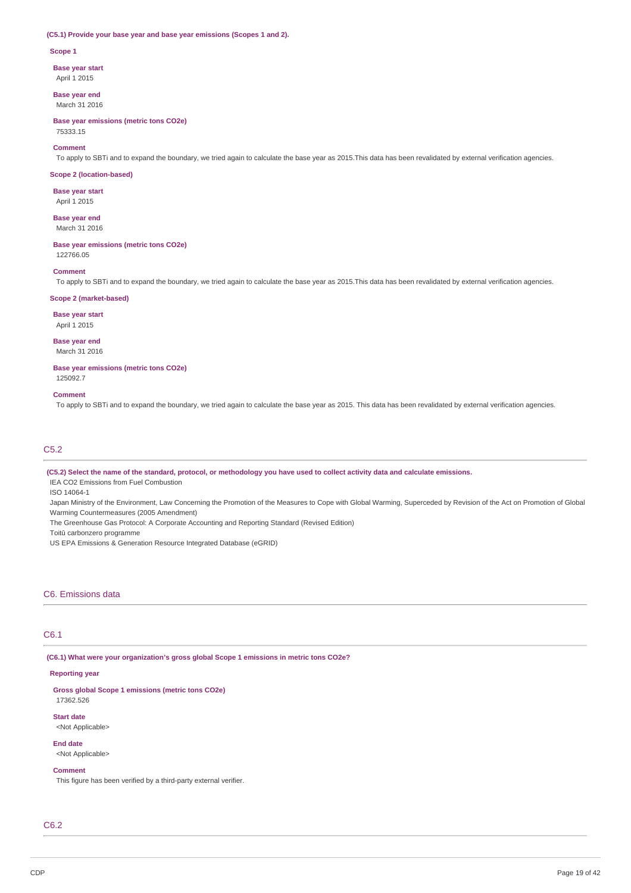#### **(C5.1) Provide your base year and base year emissions (Scopes 1 and 2).**

#### **Scope 1**

**Base year start** April 1 2015

**Base year end** March 31 2016

**Base year emissions (metric tons CO2e)** 75333.15

#### **Comment**

To apply to SBTi and to expand the boundary, we tried again to calculate the base year as 2015.This data has been revalidated by external verification agencies.

#### **Scope 2 (location-based)**

**Base year start** April 1 2015

**Base year end**

March 31 2016

**Base year emissions (metric tons CO2e)**

122766.05

# **Comment**

To apply to SBTi and to expand the boundary, we tried again to calculate the base year as 2015.This data has been revalidated by external verification agencies.

## **Scope 2 (market-based)**

**Base year start**

April 1 2015

**Base year end** March 31 2016

**Base year emissions (metric tons CO2e)** 125092.7

#### **Comment**

To apply to SBTi and to expand the boundary, we tried again to calculate the base year as 2015. This data has been revalidated by external verification agencies.

# C5.2

(C5.2) Select the name of the standard, protocol, or methodology you have used to collect activity data and calculate emissions.

IEA CO2 Emissions from Fuel Combustion

ISO 14064-1

Japan Ministry of the Environment, Law Concerning the Promotion of the Measures to Cope with Global Warming, Superceded by Revision of the Act on Promotion of Global

Warming Countermeasures (2005 Amendment)

The Greenhouse Gas Protocol: A Corporate Accounting and Reporting Standard (Revised Edition)

Toitū carbonzero programme

US EPA Emissions & Generation Resource Integrated Database (eGRID)

## C6. Emissions data

# C6.1

**(C6.1) What were your organization's gross global Scope 1 emissions in metric tons CO2e?**

# **Reporting year**

**Gross global Scope 1 emissions (metric tons CO2e)** 17362.526

# **Start date**

<Not Applicable>

**End date** <Not Applicable>

# **Comment**

This figure has been verified by a third-party external verifier.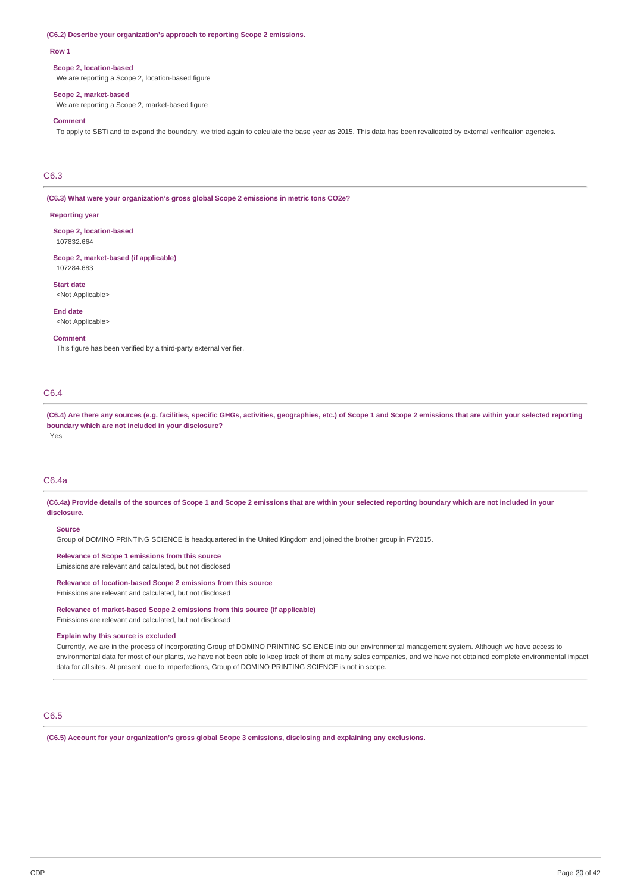#### **(C6.2) Describe your organization's approach to reporting Scope 2 emissions.**

#### **Row 1**

#### **Scope 2, location-based**

We are reporting a Scope 2, location-based figure

#### **Scope 2, market-based**

We are reporting a Scope 2, market-based figure

## **Comment**

To apply to SBTi and to expand the boundary, we tried again to calculate the base year as 2015. This data has been revalidated by external verification agencies.

# C6.3

**(C6.3) What were your organization's gross global Scope 2 emissions in metric tons CO2e?**

## **Reporting year**

**Scope 2, location-based** 107832.664

**Scope 2, market-based (if applicable)** 107284.683

**Start date** <Not Applicable>

**End date** <Not Applicable>

## **Comment**

This figure has been verified by a third-party external verifier.

# C6.4

(C6.4) Are there any sources (e.g. facilities, specific GHGs, activities, geographies, etc.) of Scope 1 and Scope 2 emissions that are within your selected reporting **boundary which are not included in your disclosure?**

Yes

# C6.4a

(C6.4a) Provide details of the sources of Scope 1 and Scope 2 emissions that are within your selected reporting boundary which are not included in your **disclosure.**

## **Source**

Group of DOMINO PRINTING SCIENCE is headquartered in the United Kingdom and joined the brother group in FY2015.

**Relevance of Scope 1 emissions from this source** Emissions are relevant and calculated, but not disclosed

**Relevance of location-based Scope 2 emissions from this source** Emissions are relevant and calculated, but not disclosed

**Relevance of market-based Scope 2 emissions from this source (if applicable)** Emissions are relevant and calculated, but not disclosed

#### **Explain why this source is excluded**

Currently, we are in the process of incorporating Group of DOMINO PRINTING SCIENCE into our environmental management system. Although we have access to environmental data for most of our plants, we have not been able to keep track of them at many sales companies, and we have not obtained complete environmental impact data for all sites. At present, due to imperfections, Group of DOMINO PRINTING SCIENCE is not in scope.

# C6.5

**(C6.5) Account for your organization's gross global Scope 3 emissions, disclosing and explaining any exclusions.**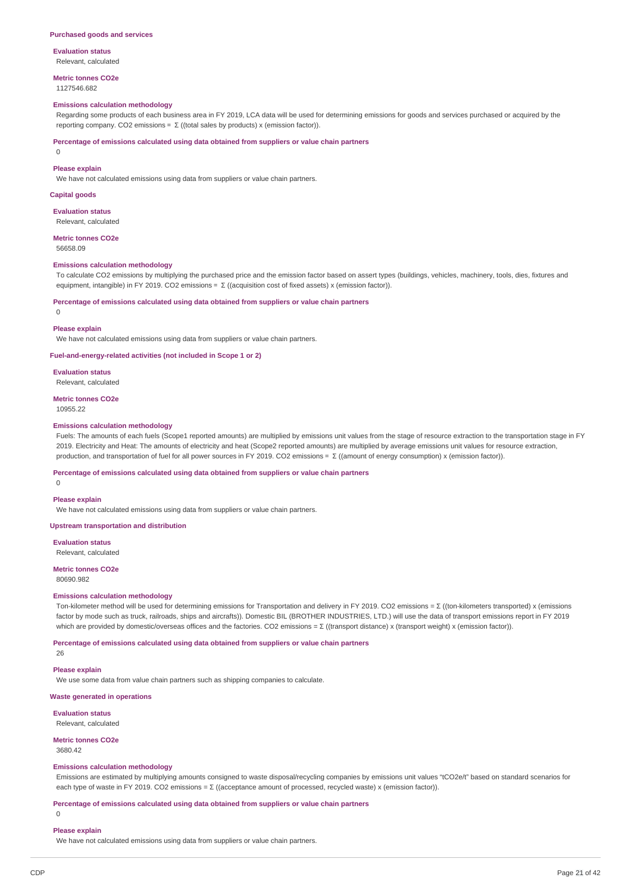## **Evaluation status**

Relevant, calculated

# **Metric tonnes CO2e**

1127546.682

### **Emissions calculation methodology**

Regarding some products of each business area in FY 2019, LCA data will be used for determining emissions for goods and services purchased or acquired by the reporting company. CO2 emissions =  $\Sigma$  ((total sales by products) x (emission factor)).

#### **Percentage of emissions calculated using data obtained from suppliers or value chain partners**

0

#### **Please explain**

We have not calculated emissions using data from suppliers or value chain partners.

## **Capital goods**

**Evaluation status**

Relevant, calculated

#### **Metric tonnes CO2e**

56658.09

## **Emissions calculation methodology**

To calculate CO2 emissions by multiplying the purchased price and the emission factor based on assert types (buildings, vehicles, machinery, tools, dies, fixtures and equipment, intangible) in FY 2019. CO2 emissions = Σ ((acquisition cost of fixed assets) x (emission factor)).

#### **Percentage of emissions calculated using data obtained from suppliers or value chain partners**

 $\theta$ 

#### **Please explain**

We have not calculated emissions using data from suppliers or value chain partners.

## **Fuel-and-energy-related activities (not included in Scope 1 or 2)**

**Evaluation status**

Relevant, calculated

#### **Metric tonnes CO2e**

10955.22

#### **Emissions calculation methodology**

Fuels: The amounts of each fuels (Scope1 reported amounts) are multiplied by emissions unit values from the stage of resource extraction to the transportation stage in FY 2019. Electricity and Heat: The amounts of electricity and heat (Scope2 reported amounts) are multiplied by average emissions unit values for resource extraction, production, and transportation of fuel for all power sources in FY 2019. CO2 emissions= Σ ((amount of energy consumption) x (emission factor)).

## **Percentage of emissions calculated using data obtained from suppliers or value chain partners**

# **Please explain**

 $\Omega$ 

We have not calculated emissions using data from suppliers or value chain partners.

## **Upstream transportation and distribution**

**Evaluation status** Relevant, calculated

## **Metric tonnes CO2e**

80690.982

#### **Emissions calculation methodology**

Ton-kilometer method will be used for determining emissions for Transportation and delivery in FY 2019. CO2 emissions = Σ ((ton-kilometers transported) x (emissions factor by mode such as truck, railroads, ships and aircrafts)). Domestic BIL (BROTHER INDUSTRIES, LTD.) will use the data of transport emissions report in FY 2019 which are provided by domestic/overseas offices and the factories. CO2 emissions = Σ ((transport distance) x (transport weight) x (emission factor)).

## **Percentage of emissions calculated using data obtained from suppliers or value chain partners**

26

## **Please explain**

We use some data from value chain partners such as shipping companies to calculate.

**Waste generated in operations**

**Evaluation status** Relevant, calculated

# **Metric tonnes CO2e**

3680.42

#### **Emissions calculation methodology**

Emissions are estimated by multiplying amounts consigned to waste disposal/recycling companies by emissions unit values "tCO2e/t" based on standard scenarios for each type of waste in FY 2019. CO2 emissions = Σ ((acceptance amount of processed, recycled waste) x (emission factor)).

**Percentage of emissions calculated using data obtained from suppliers or value chain partners**

#### $\Omega$

## **Please explain**

We have not calculated emissions using data from suppliers or value chain partners.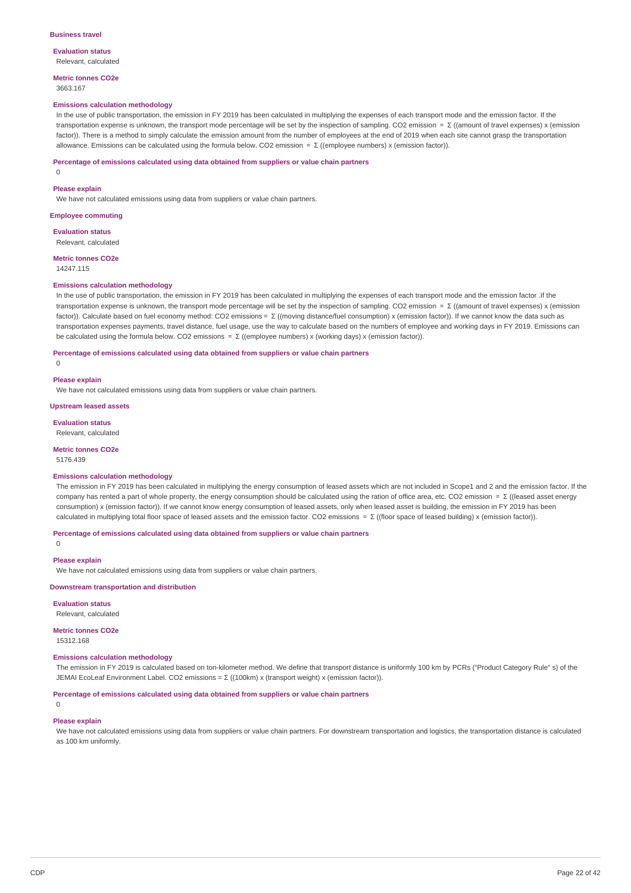#### **Business travel**

**Evaluation status** Relevant, calculated

**Metric tonnes CO2e**

# 3663.167

#### **Emissions calculation methodology**

In the use of public transportation, the emission in FY 2019 has been calculated in multiplying the expenses of each transport mode and the emission factor. If the transportation expense is unknown, the transport mode percentage will be set by the inspection of sampling. CO2 emission = Σ ((amount of travel expenses) x (emission factor)). There is a method to simply calculate the emission amount from the number of employees at the end of 2019 when each site cannot grasp the transportation allowance. Emissions can be calculated using the formula below. CO2 emission =  $\Sigma$  ((employee numbers) x (emission factor)).

#### **Percentage of emissions calculated using data obtained from suppliers or value chain partners**

0

#### **Please explain**

We have not calculated emissions using data from suppliers or value chain partners.

## **Employee commuting**

**Evaluation status**

Relevant, calculated

**Metric tonnes CO2e** 14247.115

## **Emissions calculation methodology**

In the use of public transportation, the emission in FY 2019 has been calculated in multiplying the expenses of each transport mode and the emission factor .If the transportation expense is unknown, the transport mode percentage will be set by the inspection of sampling. CO2 emission = Σ ((amount of travel expenses) x (emission factor)). Calculate based on fuel economy method: CO2 emissions= Σ ((moving distance/fuel consumption) x (emission factor)). If we cannot know the data such as transportation expenses payments, travel distance, fuel usage, use the way to calculate based on the numbers of employee and working days in FY 2019. Emissions can be calculated using the formula below. CO2 emissions = Σ ((employee numbers) x (working days) x (emission factor)).

**Percentage of emissions calculated using data obtained from suppliers or value chain partners**

 $\theta$ 

## **Please explain**

We have not calculated emissions using data from suppliers or value chain partners.

**Upstream leased assets**

**Evaluation status**

Relevant, calculated

**Metric tonnes CO2e**

5176.439

#### **Emissions calculation methodology**

The emission in FY 2019 has been calculated in multiplying the energy consumption of leased assets which are not included in Scope1 and 2 and the emission factor. If the company has rented a part of whole property, the energy consumption should be calculated using the ration of office area, etc. CO2 emission = Σ ((leased asset energy consumption) x (emission factor)). If we cannot know energy consumption of leased assets, only when leased asset is building, the emission in FY 2019 has been calculated in multiplying total floor space of leased assets and the emission factor. CO2 emissions = Σ ((floor space of leased building) x (emission factor)).

**Percentage of emissions calculated using data obtained from suppliers or value chain partners**

 $\Omega$ 

### **Please explain**

We have not calculated emissions using data from suppliers or value chain partners.

## **Downstream transportation and distribution**

**Evaluation status**

Relevant, calculated **Metric tonnes CO2e**

# 15312.168

# **Emissions calculation methodology**

The emission in FY 2019 is calculated based on ton-kilometer method. We define that transport distance is uniformly 100 km by PCRs ("Product Category Rule" s) of the JEMAI EcoLeaf Environment Label. CO2 emissions = Σ ((100km) x (transport weight) x (emission factor)).

**Percentage of emissions calculated using data obtained from suppliers or value chain partners**

# $\theta$

#### **Please explain**

We have not calculated emissions using data from suppliers or value chain partners. For downstream transportation and logistics, the transportation distance is calculated as 100 km uniformly.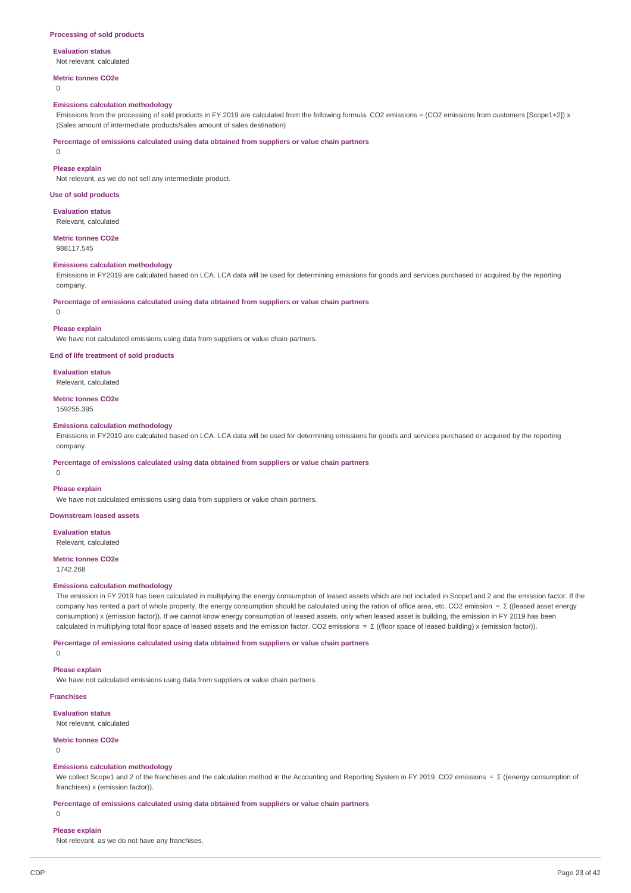## **Evaluation status**

# Not relevant, calculated

**Metric tonnes CO2e**

 $\Omega$ 

#### **Emissions calculation methodology**

Emissions from the processing of sold products in FY 2019 are calculated from the following formula. CO2 emissions = (CO2 emissions from customers [Scope1+2]) x (Sales amount of intermediate products/sales amount of sales destination)

**Percentage of emissions calculated using data obtained from suppliers or value chain partners**

0

## **Please explain**

Not relevant, as we do not sell any intermediate product.

**Use of sold products**

**Evaluation status**

Relevant, calculated

**Metric tonnes CO2e** 988117.545

### **Emissions calculation methodology**

Emissions in FY2019 are calculated based on LCA. LCA data will be used for determining emissions for goods and services purchased or acquired by the reporting company.

**Percentage of emissions calculated using data obtained from suppliers or value chain partners**

# $\theta$

## **Please explain**

We have not calculated emissions using data from suppliers or value chain partners.

## **End of life treatment of sold products**

**Evaluation status**

Relevant, calculated

**Metric tonnes CO2e** 159255.395

#### **Emissions calculation methodology**

Emissions in FY2019 are calculated based on LCA. LCA data will be used for determining emissions for goods and services purchased or acquired by the reporting company.

**Percentage of emissions calculated using data obtained from suppliers or value chain partners**

 $\Omega$ 

## **Please explain**

We have not calculated emissions using data from suppliers or value chain partners.

**Downstream leased assets**

# **Evaluation status**

Relevant, calculated

# **Metric tonnes CO2e**

1742.268

# **Emissions calculation methodology**

The emission in FY 2019 has been calculated in multiplying the energy consumption of leased assets which are not included in Scope1and 2 and the emission factor. If the company has rented a part of whole property, the energy consumption should be calculated using the ration of office area, etc. CO2 emission = Σ ((leased asset energy consumption) x (emission factor)). If we cannot know energy consumption of leased assets, only when leased asset is building, the emission in FY 2019 has been calculated in multiplying total floor space of leased assets and the emission factor. CO2 emissions = Σ ((floor space of leased building) x (emission factor)).

## **Percentage of emissions calculated using data obtained from suppliers or value chain partners**

 $\Omega$ 

# **Please explain**

We have not calculated emissions using data from suppliers or value chain partners.

## **Franchises**

**Evaluation status**

Not relevant, calculated

#### **Metric tonnes CO2e**

0

## **Emissions calculation methodology**

We collect Scope1 and 2 of the franchises and the calculation method in the Accounting and Reporting System in FY 2019. CO2 emissions = Σ ((energy consumption of franchises) x (emission factor)).

#### **Percentage of emissions calculated using data obtained from suppliers or value chain partners**

0

# **Please explain**

Not relevant, as we do not have any franchises.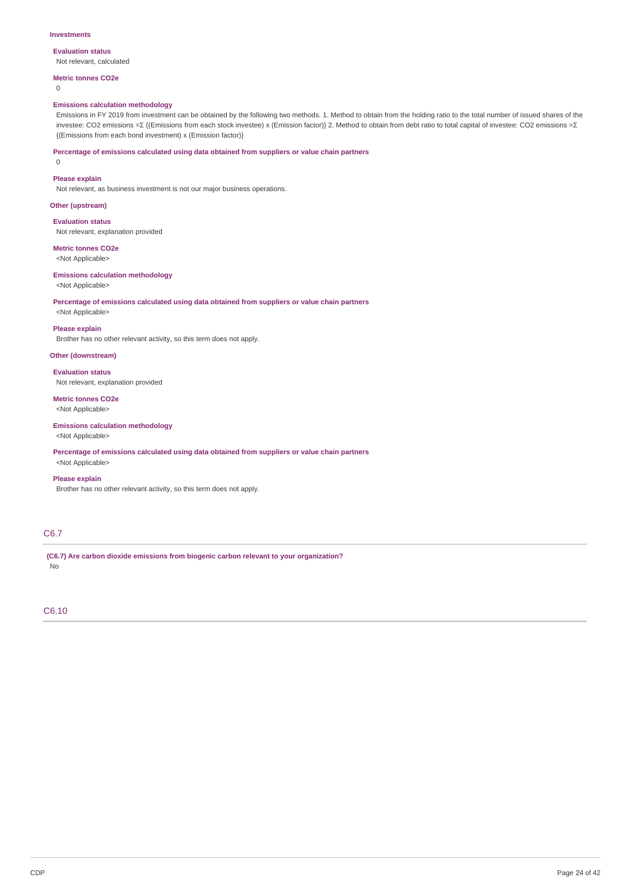#### **Investments**

# **Evaluation status**

Not relevant, calculated

# **Metric tonnes CO2e**

0

## **Emissions calculation methodology**

Emissions in FY 2019 from investment can be obtained by the following two methods. 1. Method to obtain from the holding ratio to the total number of issued shares of the investee: CO2 emissions =Σ {(Emissions from each stock investee) x (Emission factor)} 2. Method to obtain from debt ratio to total capital of investee: CO2 emissions =Σ {(Emissions from each bond investment) x (Emission factor)}

**Percentage of emissions calculated using data obtained from suppliers or value chain partners**

 $\Omega$ 

# **Please explain**

Not relevant, as business investment is not our major business operations.

**Other (upstream)**

**Evaluation status** Not relevant, explanation provided

**Metric tonnes CO2e** <Not Applicable>

# **Emissions calculation methodology**

<Not Applicable>

# **Percentage of emissions calculated using data obtained from suppliers or value chain partners**

<Not Applicable>

**Please explain**

Brother has no other relevant activity, so this term does not apply.

# **Other (downstream)**

## **Evaluation status**

Not relevant, explanation provided

**Metric tonnes CO2e** <Not Applicable>

## **Emissions calculation methodology**

<Not Applicable>

**Percentage of emissions calculated using data obtained from suppliers or value chain partners** <Not Applicable>

## **Please explain**

Brother has no other relevant activity, so this term does not apply.

# C6.7

**(C6.7) Are carbon dioxide emissions from biogenic carbon relevant to your organization?** No

# C6.10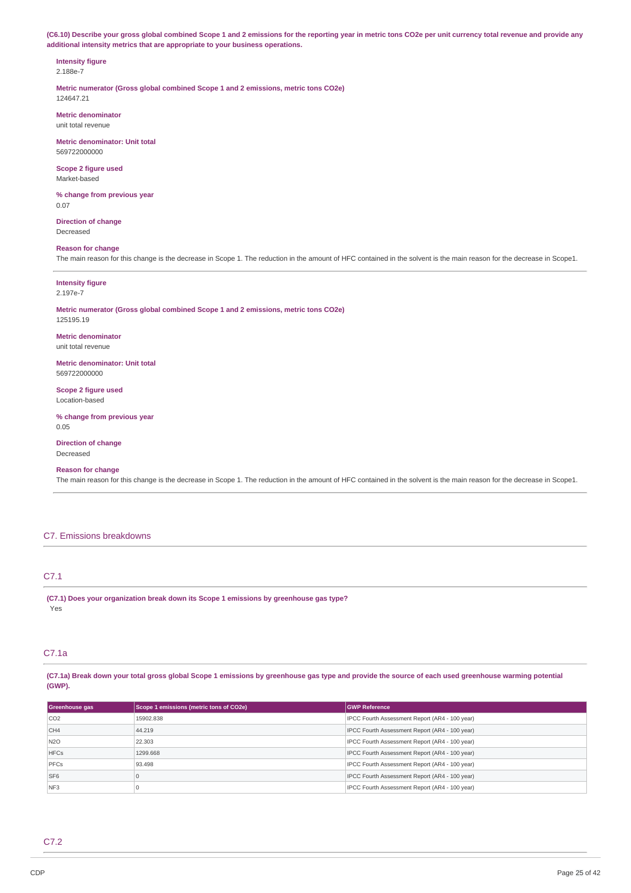(C6.10) Describe your gross global combined Scope 1 and 2 emissions for the reporting year in metric tons CO2e per unit currency total revenue and provide any **additional intensity metrics that are appropriate to your business operations.**

### **Intensity figure** 2.188e-7

**Metric numerator (Gross global combined Scope 1 and 2 emissions, metric tons CO2e)** 124647.21

**Metric denominator** unit total revenue

**Metric denominator: Unit total** 569722000000

**Scope 2 figure used** Market-based

**% change from previous year** 0.07

**Direction of change** Decreased

# **Reason for change**

The main reason for this change is the decrease in Scope 1. The reduction in the amount of HFC contained in the solvent is the main reason for the decrease in Scope1.

**Intensity figure** 2.197e-7

#### **Metric numerator (Gross global combined Scope 1 and 2 emissions, metric tons CO2e)** 125195.19

**Metric denominator** unit total revenue

**Metric denominator: Unit total** 569722000000

**Scope 2 figure used** Location-based

**% change from previous year** 0.05

**Direction of change** Decreased

# **Reason for change**

The main reason for this change is the decrease in Scope 1. The reduction in the amount of HFC contained in the solvent is the main reason for the decrease in Scope1.

# C7. Emissions breakdowns

# C7.1

**(C7.1) Does your organization break down its Scope 1 emissions by greenhouse gas type?** Yes

# C7.1a

(C7.1a) Break down your total gross global Scope 1 emissions by greenhouse gas type and provide the source of each used greenhouse warming potential **(GWP).**

| Greenhouse gas  | Scope 1 emissions (metric tons of CO2e) | <b>GWP Reference</b>                           |
|-----------------|-----------------------------------------|------------------------------------------------|
| CO <sub>2</sub> | 15902.838                               | IPCC Fourth Assessment Report (AR4 - 100 year) |
| CH <sub>4</sub> | 44.219                                  | IPCC Fourth Assessment Report (AR4 - 100 year) |
| N <sub>2O</sub> | 22,303                                  | IPCC Fourth Assessment Report (AR4 - 100 year) |
| <b>HFCs</b>     | 1299.668                                | IPCC Fourth Assessment Report (AR4 - 100 year) |
| PFCs            | 93.498                                  | IPCC Fourth Assessment Report (AR4 - 100 year) |
| SF <sub>6</sub> | 0                                       | IPCC Fourth Assessment Report (AR4 - 100 year) |
| NF <sub>3</sub> |                                         | IPCC Fourth Assessment Report (AR4 - 100 year) |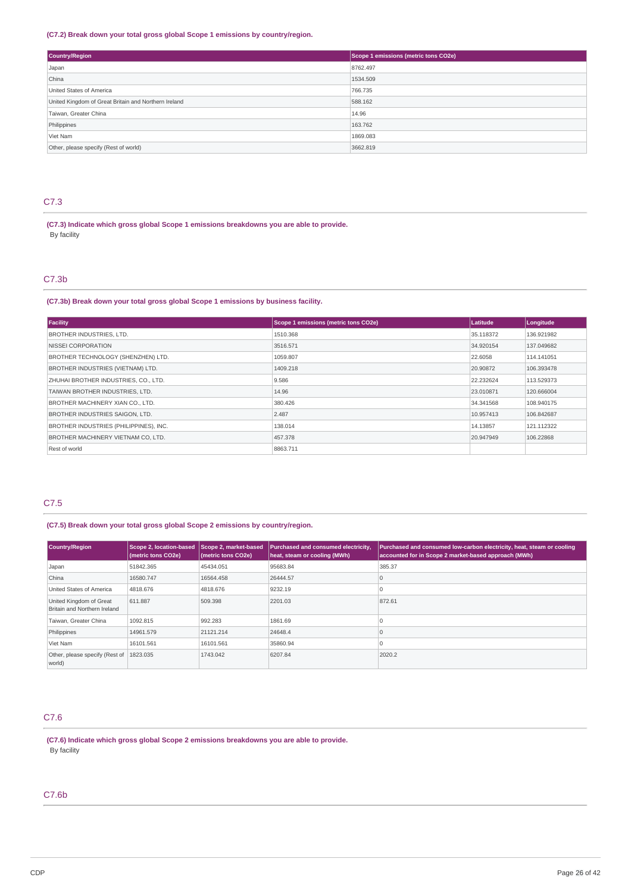## **(C7.2) Break down your total gross global Scope 1 emissions by country/region.**

| Country/Region                                       | Scope 1 emissions (metric tons CO2e) |
|------------------------------------------------------|--------------------------------------|
| Japan                                                | 8762.497                             |
| China                                                | 1534.509                             |
| United States of America                             | 766,735                              |
| United Kingdom of Great Britain and Northern Ireland | 588.162                              |
| Taiwan, Greater China                                | 14.96                                |
| Philippines                                          | 163.762                              |
| Viet Nam                                             | 1869.083                             |
| Other, please specify (Rest of world)                | 3662.819                             |

# C7.3

**(C7.3) Indicate which gross global Scope 1 emissions breakdowns you are able to provide.** By facility

# C7.3b

**(C7.3b) Break down your total gross global Scope 1 emissions by business facility.**

| Facility                                 | Scope 1 emissions (metric tons CO2e) | Latitude  | Longitude  |
|------------------------------------------|--------------------------------------|-----------|------------|
| <b>BROTHER INDUSTRIES, LTD.</b>          | 1510.368                             | 35.118372 | 136.921982 |
| NISSEI CORPORATION                       | 3516.571                             | 34.920154 | 137.049682 |
| BROTHER TECHNOLOGY (SHENZHEN) LTD.       | 1059.807                             | 22,6058   | 114.141051 |
| <b>BROTHER INDUSTRIES (VIETNAM) LTD.</b> | 1409.218                             | 20,90872  | 106.393478 |
| ZHUHAI BROTHER INDUSTRIES, CO., LTD.     | 9.586                                | 22.232624 | 113,529373 |
| TAIWAN BROTHER INDUSTRIES, LTD.          | 14.96                                | 23.010871 | 120.666004 |
| BROTHER MACHINERY XIAN CO., LTD.         | 380,426                              | 34.341568 | 108.940175 |
| <b>BROTHER INDUSTRIES SAIGON, LTD.</b>   | 2.487                                | 10.957413 | 106.842687 |
| BROTHER INDUSTRIES (PHILIPPINES), INC.   | 138.014                              | 14.13857  | 121.112322 |
| BROTHER MACHINERY VIETNAM CO. LTD.       | 457.378                              | 20.947949 | 106.22868  |
| Rest of world                            | 8863.711                             |           |            |

## C7.5

**(C7.5) Break down your total gross global Scope 2 emissions by country/region.**

| <b>Country/Region</b>                                   | <b>Scope 2, location-based</b><br>(metric tons CO2e) | Scope 2, market-based<br>(metric tons CO2e) | Purchased and consumed electricity,<br>heat, steam or cooling (MWh) | Purchased and consumed low-carbon electricity, heat, steam or cooling<br>accounted for in Scope 2 market-based approach (MWh) |
|---------------------------------------------------------|------------------------------------------------------|---------------------------------------------|---------------------------------------------------------------------|-------------------------------------------------------------------------------------------------------------------------------|
| Japan                                                   | 51842.365                                            | 45434.051                                   | 95683.84                                                            | 385.37                                                                                                                        |
| China                                                   | 16580.747                                            | 16564.458                                   | 26444.57                                                            | u                                                                                                                             |
| United States of America                                | 4818.676                                             | 4818.676                                    | 9232.19                                                             |                                                                                                                               |
| United Kingdom of Great<br>Britain and Northern Ireland | 611.887                                              | 509.398                                     | 2201.03                                                             | 872.61                                                                                                                        |
| Taiwan, Greater China                                   | 1092.815                                             | 992.283                                     | 1861.69                                                             |                                                                                                                               |
| Philippines                                             | 14961.579                                            | 21121.214                                   | 24648.4                                                             |                                                                                                                               |
| Viet Nam                                                | 16101.561                                            | 16101.561                                   | 35860.94                                                            |                                                                                                                               |
| Other, please specify (Rest of 1823.035)<br>world)      |                                                      | 1743.042                                    | 6207.84                                                             | 2020.2                                                                                                                        |

# C7.6

**(C7.6) Indicate which gross global Scope 2 emissions breakdowns you are able to provide.** By facility

# C7.6b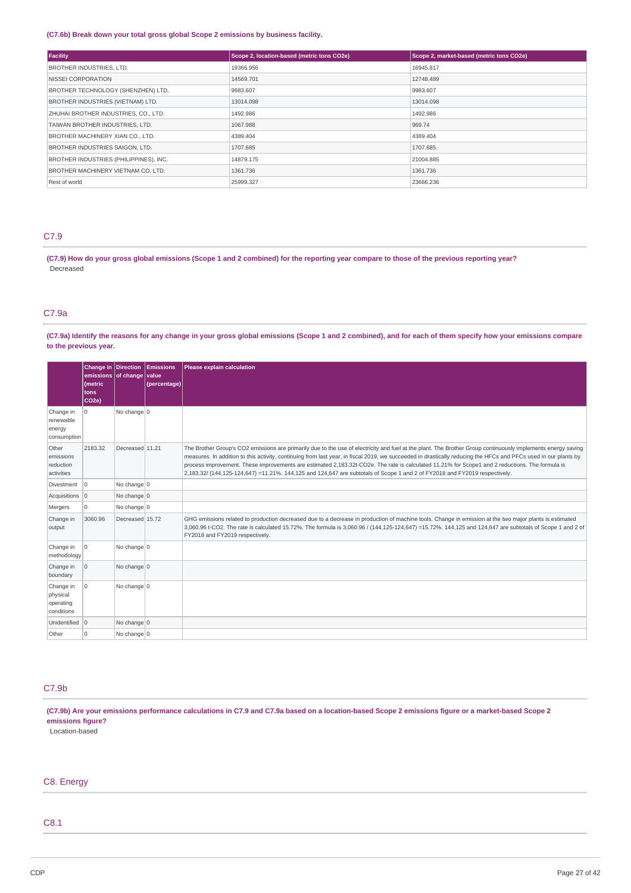## **(C7.6b) Break down your total gross global Scope 2 emissions by business facility.**

| Facility                                 | Scope 2, location-based (metric tons CO2e) | Scope 2, market-based (metric tons CO2e) |
|------------------------------------------|--------------------------------------------|------------------------------------------|
| <b>BROTHER INDUSTRIES, LTD.</b>          | 19366.956                                  | 16945.817                                |
| NISSEI CORPORATION                       | 14569.701                                  | 12748.489                                |
| BROTHER TECHNOLOGY (SHENZHEN) LTD.       | 9983.607                                   | 9983.607                                 |
| <b>BROTHER INDUSTRIES (VIETNAM) LTD.</b> | 13014.098                                  | 13014.098                                |
| ZHUHAI BROTHER INDUSTRIES, CO., LTD.     | 1492.986                                   | 1492.986                                 |
| TAIWAN BROTHER INDUSTRIES, LTD.          | 1067.988                                   | 969.74                                   |
| BROTHER MACHINERY XIAN CO., LTD.         | 4389.404                                   | 4389.404                                 |
| BROTHER INDUSTRIES SAIGON, LTD.          | 1707.685                                   | 1707.685                                 |
| BROTHER INDUSTRIES (PHILIPPINES), INC.   | 14879.175                                  | 21004.885                                |
| BROTHER MACHINERY VIETNAM CO, LTD.       | 1361.736                                   | 1361.736                                 |
| Rest of world                            | 25999.327                                  | 23666.236                                |

# C7.9

(C7.9) How do your gross global emissions (Scope 1 and 2 combined) for the reporting year compare to those of the previous reporting year? Decreased

# C7.9a

(C7.9a) Identify the reasons for any change in your gross global emissions (Scope 1 and 2 combined), and for each of them specify how your emissions compare **to the previous year.**

|                                                  | emissions of change value<br>(metric<br>tons<br>CO <sub>2e</sub> ) |                 | Change in Direction Emissions<br>(percentage) | Please explain calculation                                                                                                                                                                                                                                                                                                                                                                                                                                                                                                                                                                                       |
|--------------------------------------------------|--------------------------------------------------------------------|-----------------|-----------------------------------------------|------------------------------------------------------------------------------------------------------------------------------------------------------------------------------------------------------------------------------------------------------------------------------------------------------------------------------------------------------------------------------------------------------------------------------------------------------------------------------------------------------------------------------------------------------------------------------------------------------------------|
| Change in<br>renewable<br>energy<br>consumption  | 0                                                                  | No change $0$   |                                               |                                                                                                                                                                                                                                                                                                                                                                                                                                                                                                                                                                                                                  |
| Other<br>emissions<br>reduction<br>activities    | 2183.32                                                            | Decreased 11.21 |                                               | The Brother Group's CO2 emissions are primarily due to the use of electricity and fuel at the plant. The Brother Group continuously implements energy saving<br>measures. In addition to this activity, continuing from last year, in fiscal 2019, we succeeded in drastically reducing the HFCs and PFCs used in our plants by<br>process improvement. These improvements are estimated 2,183.32t-CO2e. The rate is calculated 11.21% for Scope1 and 2 reductions. The formula is<br>2,183.32/ (144,125-124,647) =11.21%. 144,125 and 124,647 are subtotals of Scope 1 and 2 of FY2018 and FY2019 respectively. |
| Divestment                                       | 0                                                                  | No change $ 0 $ |                                               |                                                                                                                                                                                                                                                                                                                                                                                                                                                                                                                                                                                                                  |
| Acquisitions 0                                   |                                                                    | No change $ 0 $ |                                               |                                                                                                                                                                                                                                                                                                                                                                                                                                                                                                                                                                                                                  |
| Mergers                                          | $\mathbf 0$                                                        | No change $ 0 $ |                                               |                                                                                                                                                                                                                                                                                                                                                                                                                                                                                                                                                                                                                  |
| Change in<br>output                              | 3060.96                                                            | Decreased 15.72 |                                               | GHG emissions related to production decreased due to a decrease in production of machine tools. Change in emission at the two major plants is estimated<br>3,060.96 t-CO2. The rate is calculated 15.72%. The formula is 3,060.96 / (144,125-124,647) =15.72%. 144,125 and 124,647 are subtotals of Scope 1 and 2 of<br>FY2018 and FY2019 respectively.                                                                                                                                                                                                                                                          |
| Change in<br>methodology                         | O                                                                  | No change $ 0 $ |                                               |                                                                                                                                                                                                                                                                                                                                                                                                                                                                                                                                                                                                                  |
| Change in<br>boundary                            | $\overline{0}$                                                     | No change $ 0 $ |                                               |                                                                                                                                                                                                                                                                                                                                                                                                                                                                                                                                                                                                                  |
| Change in<br>physical<br>operating<br>conditions | $\circ$                                                            | No change 0     |                                               |                                                                                                                                                                                                                                                                                                                                                                                                                                                                                                                                                                                                                  |
| Unidentified 0                                   |                                                                    | No change $0$   |                                               |                                                                                                                                                                                                                                                                                                                                                                                                                                                                                                                                                                                                                  |
| Other                                            | $\Omega$                                                           | No change $ 0 $ |                                               |                                                                                                                                                                                                                                                                                                                                                                                                                                                                                                                                                                                                                  |

# C7.9b

(C7.9b) Are your emissions performance calculations in C7.9 and C7.9a based on a location-based Scope 2 emissions figure or a market-based Scope 2 **emissions figure?**

Location-based

# C8. Energy

# C8.1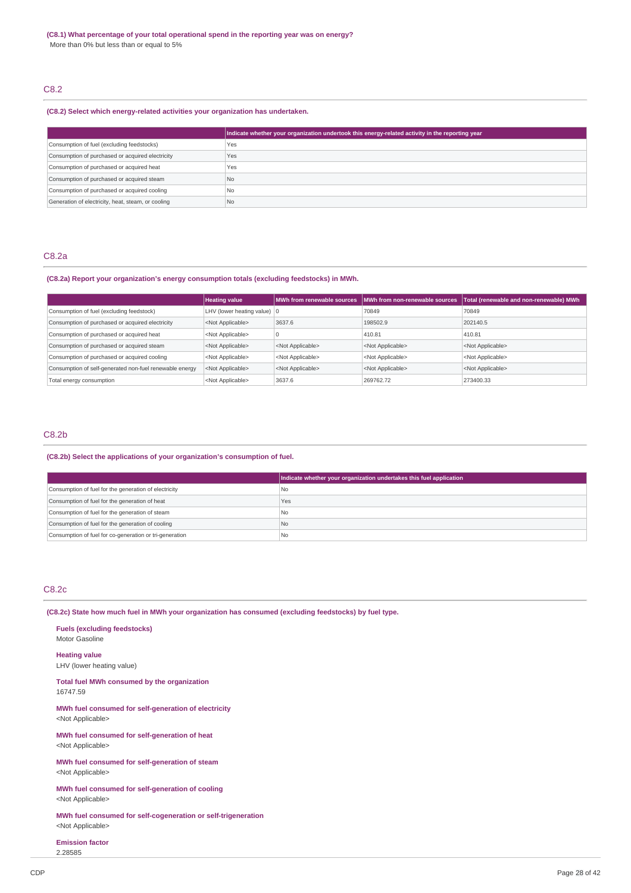# C8.2

## **(C8.2) Select which energy-related activities your organization has undertaken.**

|                                                    | Indicate whether your organization undertook this energy-related activity in the reporting year |
|----------------------------------------------------|-------------------------------------------------------------------------------------------------|
| Consumption of fuel (excluding feedstocks)         | Yes                                                                                             |
| Consumption of purchased or acquired electricity   | Yes                                                                                             |
| Consumption of purchased or acquired heat          | Yes                                                                                             |
| Consumption of purchased or acquired steam         | N <sub>o</sub>                                                                                  |
| Consumption of purchased or acquired cooling       | No.                                                                                             |
| Generation of electricity, heat, steam, or cooling | l No                                                                                            |

# C8.2a

## **(C8.2a) Report your organization's energy consumption totals (excluding feedstocks) in MWh.**

|                                                         | <b>Heating value</b>                  |                           | MWh from renewable sources   MWh from non-renewable sources | Total (renewable and non-renewable) MWh |
|---------------------------------------------------------|---------------------------------------|---------------------------|-------------------------------------------------------------|-----------------------------------------|
| Consumption of fuel (excluding feedstock)               | LHV (lower heating value) $ 0\rangle$ |                           | 70849                                                       | 70849                                   |
| Consumption of purchased or acquired electricity        | <not applicable=""></not>             | 3637.6                    | 198502.9                                                    | 202140.5                                |
| Consumption of purchased or acquired heat               | <not applicable=""></not>             |                           | 410.81                                                      | 410.81                                  |
| Consumption of purchased or acquired steam              | <not applicable=""></not>             | <not applicable=""></not> | <not applicable=""></not>                                   | <not applicable=""></not>               |
| Consumption of purchased or acquired cooling            | <not applicable=""></not>             | <not applicable=""></not> | <not applicable=""></not>                                   | <not applicable=""></not>               |
| Consumption of self-generated non-fuel renewable energy | <not applicable=""></not>             | <not applicable=""></not> | <not applicable=""></not>                                   | <not applicable=""></not>               |
| Total energy consumption                                | <not applicable=""></not>             | 3637.6                    | 269762.72                                                   | 273400.33                               |

# C8.2b

## **(C8.2b) Select the applications of your organization's consumption of fuel.**

|                                                         | Indicate whether your organization undertakes this fuel application |
|---------------------------------------------------------|---------------------------------------------------------------------|
| Consumption of fuel for the generation of electricity   | No                                                                  |
| Consumption of fuel for the generation of heat          | Yes                                                                 |
| Consumption of fuel for the generation of steam         | No                                                                  |
| Consumption of fuel for the generation of cooling       | No                                                                  |
| Consumption of fuel for co-generation or tri-generation | l Nc                                                                |

# C8.2c

**(C8.2c) State how much fuel in MWh your organization has consumed (excluding feedstocks) by fuel type.**

#### **Fuels (excluding feedstocks)** Motor Gasoline

## **Heating value**

LHV (lower heating value)

## **Total fuel MWh consumed by the organization** 16747.59

**MWh fuel consumed for self-generation of electricity** <Not Applicable>

**MWh fuel consumed for self-generation of heat** <Not Applicable>

**MWh fuel consumed for self-generation of steam** <Not Applicable>

**MWh fuel consumed for self-generation of cooling** <Not Applicable>

**MWh fuel consumed for self-cogeneration or self-trigeneration** <Not Applicable>

**Emission factor** 2.28585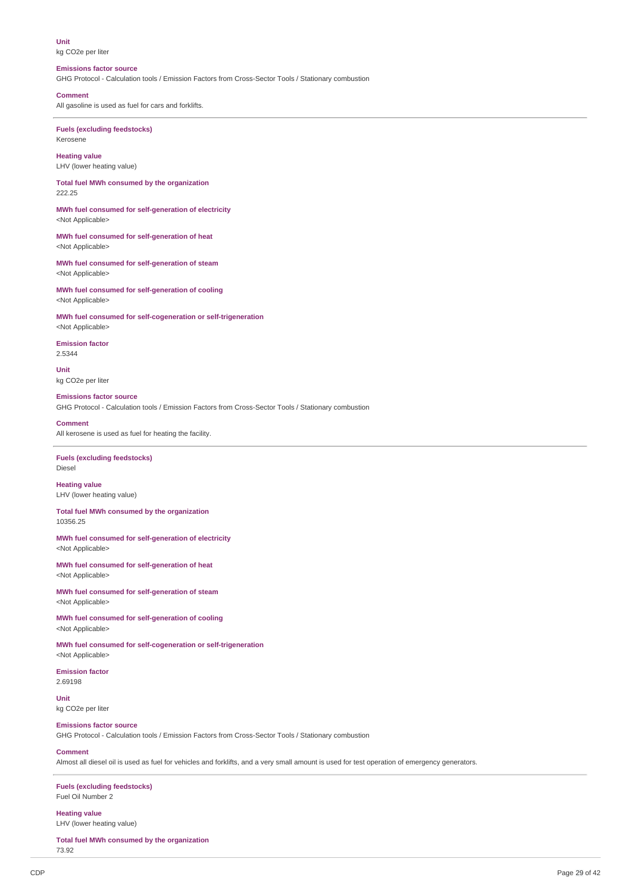**Unit** kg CO2e per liter

## **Emissions factor source**

GHG Protocol - Calculation tools / Emission Factors from Cross-Sector Tools / Stationary combustion

**Comment**

All gasoline is used as fuel for cars and forklifts.

## **Fuels (excluding feedstocks)** Kerosene

**Heating value**

LHV (lower heating value)

**Total fuel MWh consumed by the organization** 222.25

**MWh fuel consumed for self-generation of electricity** <Not Applicable>

**MWh fuel consumed for self-generation of heat** <Not Applicable>

**MWh fuel consumed for self-generation of steam** <Not Applicable>

**MWh fuel consumed for self-generation of cooling** <Not Applicable>

**MWh fuel consumed for self-cogeneration or self-trigeneration** <Not Applicable>

**Emission factor** 2.5344

**Unit**

kg CO2e per liter **Emissions factor source**

GHG Protocol - Calculation tools / Emission Factors from Cross-Sector Tools / Stationary combustion

#### **Comment**

All kerosene is used as fuel for heating the facility.

### **Fuels (excluding feedstocks)** Diesel

**Heating value** LHV (lower heating value)

## **Total fuel MWh consumed by the organization** 10356.25

**MWh fuel consumed for self-generation of electricity** <Not Applicable>

**MWh fuel consumed for self-generation of heat** <Not Applicable>

**MWh fuel consumed for self-generation of steam** <Not Applicable>

**MWh fuel consumed for self-generation of cooling** <Not Applicable>

**MWh fuel consumed for self-cogeneration or self-trigeneration** <Not Applicable>

**Emission factor** 2.69198

**Unit** kg CO2e per liter

## **Emissions factor source**

GHG Protocol - Calculation tools / Emission Factors from Cross-Sector Tools / Stationary combustion

## **Comment**

Almost all diesel oil is used as fuel for vehicles and forklifts, and a very small amount is used for test operation of emergency generators.

## **Fuels (excluding feedstocks)** Fuel Oil Number 2

**Heating value**

LHV (lower heating value)

**Total fuel MWh consumed by the organization** 73.92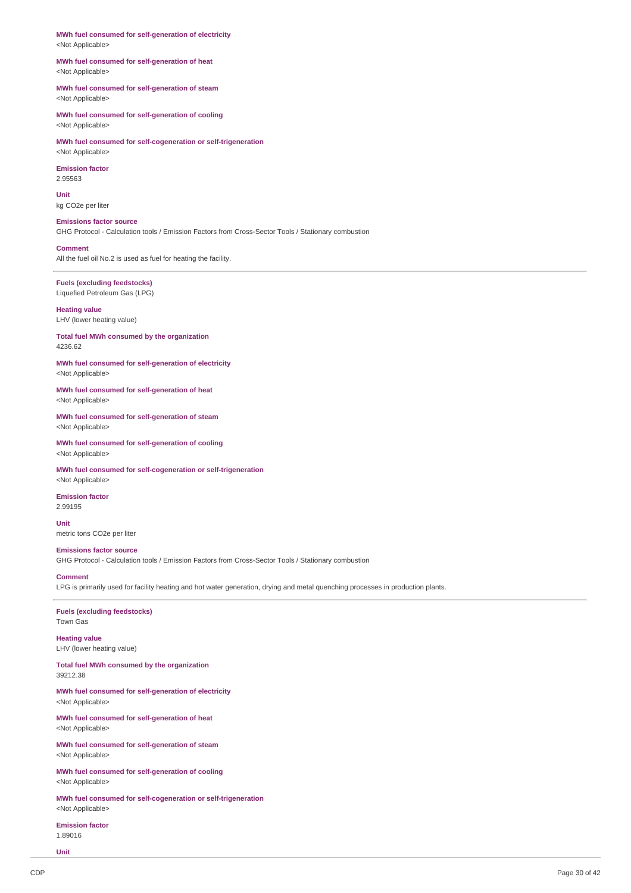**MWh fuel consumed for self-generation of electricity** <Not Applicable>

## **MWh fuel consumed for self-generation of heat** <Not Applicable>

## **MWh fuel consumed for self-generation of steam** <Not Applicable>

**MWh fuel consumed for self-generation of cooling** <Not Applicable>

**MWh fuel consumed for self-cogeneration or self-trigeneration** <Not Applicable>

# **Emission factor** 2.95563

**Unit** kg CO2e per liter

# **Emissions factor source**

GHG Protocol - Calculation tools / Emission Factors from Cross-Sector Tools / Stationary combustion

### **Comment**

All the fuel oil No.2 is used as fuel for heating the facility.

# **Fuels (excluding feedstocks)** Liquefied Petroleum Gas (LPG)

**Heating value** LHV (lower heating value)

**Total fuel MWh consumed by the organization** 4236.62

#### **MWh fuel consumed for self-generation of electricity** <Not Applicable>

**MWh fuel consumed for self-generation of heat** <Not Applicable>

**MWh fuel consumed for self-generation of steam** <Not Applicable>

**MWh fuel consumed for self-generation of cooling** <Not Applicable>

**MWh fuel consumed for self-cogeneration or self-trigeneration** <Not Applicable>

**Emission factor** 2.99195

### **Unit**

metric tons CO2e per liter

# **Emissions factor source**

GHG Protocol - Calculation tools / Emission Factors from Cross-Sector Tools / Stationary combustion

## **Comment**

LPG is primarily used for facility heating and hot water generation, drying and metal quenching processes in production plants.

# **Fuels (excluding feedstocks)** Town Gas

**Heating value** LHV (lower heating value)

**Total fuel MWh consumed by the organization** 39212.38

**MWh fuel consumed for self-generation of electricity** <Not Applicable>

**MWh fuel consumed for self-generation of heat** <Not Applicable>

**MWh fuel consumed for self-generation of steam** <Not Applicable>

**MWh fuel consumed for self-generation of cooling** <Not Applicable>

**MWh fuel consumed for self-cogeneration or self-trigeneration** <Not Applicable>

**Emission factor** 1.89016

**Unit**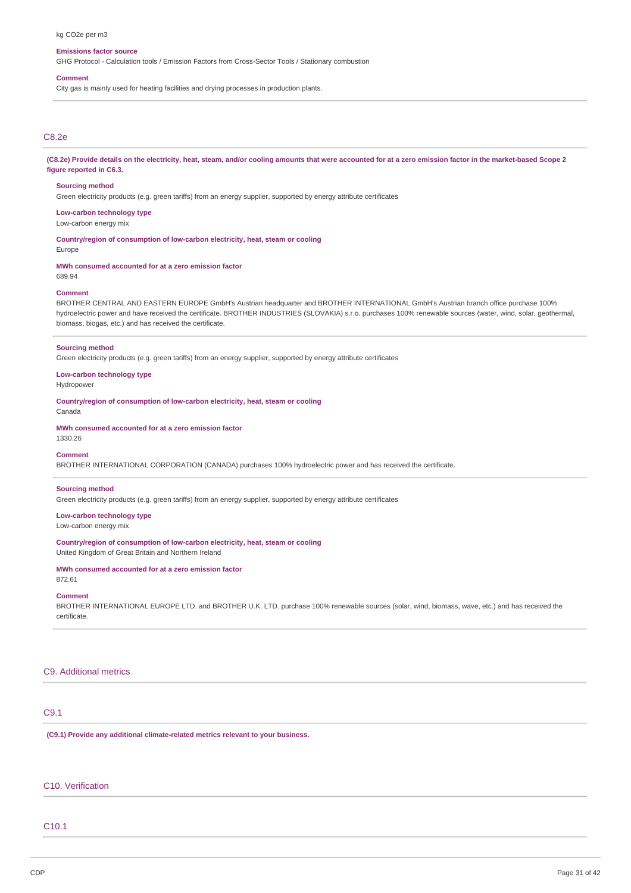#### kg CO2e per m3

### **Emissions factor source**

GHG Protocol - Calculation tools / Emission Factors from Cross-Sector Tools / Stationary combustion

#### **Comment**

City gas is mainly used for heating facilities and drying processes in production plants.

# C8.2e

(C8.2e) Provide details on the electricity, heat, steam, and/or cooling amounts that were accounted for at a zero emission factor in the market-based Scope 2 **figure reported in C6.3.**

#### **Sourcing method**

Green electricity products (e.g. green tariffs) from an energy supplier, supported by energy attribute certificates

## **Low-carbon technology type**

Low-carbon energy mix

**Country/region of consumption of low-carbon electricity, heat, steam or cooling** Europe

**MWh consumed accounted for at a zero emission factor**

# 689.94 **Comment**

BROTHER CENTRAL AND EASTERN EUROPE GmbH's Austrian headquarter and BROTHER INTERNATIONAL GmbH's Austrian branch office purchase 100% hydroelectric power and have received the certificate. BROTHER INDUSTRIES (SLOVAKIA) s.r.o. purchases 100% renewable sources (water, wind, solar, geothermal, biomass, biogas, etc.) and has received the certificate.

#### **Sourcing method**

Green electricity products (e.g. green tariffs) from an energy supplier, supported by energy attribute certificates

**Low-carbon technology type**

Hydropower

**Country/region of consumption of low-carbon electricity, heat, steam or cooling** Canada

**MWh consumed accounted for at a zero emission factor**

1330.26

## **Comment**

BROTHER INTERNATIONAL CORPORATION (CANADA) purchases 100% hydroelectric power and has received the certificate.

#### **Sourcing method**

Green electricity products (e.g. green tariffs) from an energy supplier, supported by energy attribute certificates

**Low-carbon technology type** Low-carbon energy mix

## **Country/region of consumption of low-carbon electricity, heat, steam or cooling**

United Kingdom of Great Britain and Northern Ireland

# **MWh consumed accounted for at a zero emission factor**

872.61

# **Comment**

BROTHER INTERNATIONAL EUROPE LTD. and BROTHER U.K. LTD. purchase 100% renewable sources (solar, wind, biomass, wave, etc.) and has received the certificate.

## C9. Additional metrics

# C9.1

**(C9.1) Provide any additional climate-related metrics relevant to your business.**

# C10. Verification

## C10.1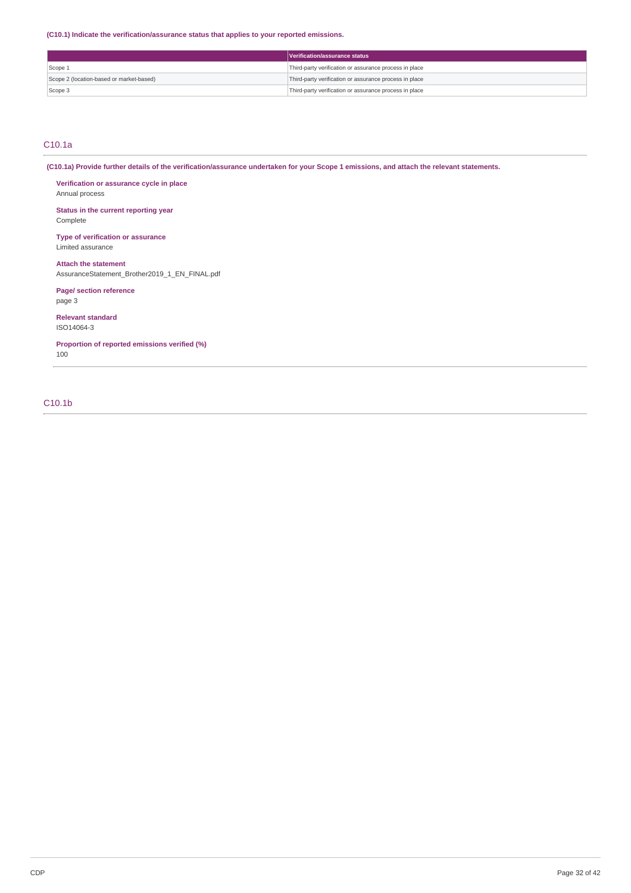**(C10.1) Indicate the verification/assurance status that applies to your reported emissions.**

|                                          | Verification/assurance status                          |
|------------------------------------------|--------------------------------------------------------|
| Scope 1                                  | Third-party verification or assurance process in place |
| Scope 2 (location-based or market-based) | Third-party verification or assurance process in place |
| Scope 3                                  | Third-party verification or assurance process in place |

# C10.1a

(C10.1a) Provide further details of the verification/assurance undertaken for your Scope 1 emissions, and attach the relevant statements.

**Verification or assurance cycle in place** Annual process

**Status in the current reporting year** Complete

**Type of verification or assurance** Limited assurance

**Attach the statement** AssuranceStatement\_Brother2019\_1\_EN\_FINAL.pdf

**Page/ section reference** page 3

**Relevant standard** ISO14064-3

**Proportion of reported emissions verified (%)** 100

C10.1b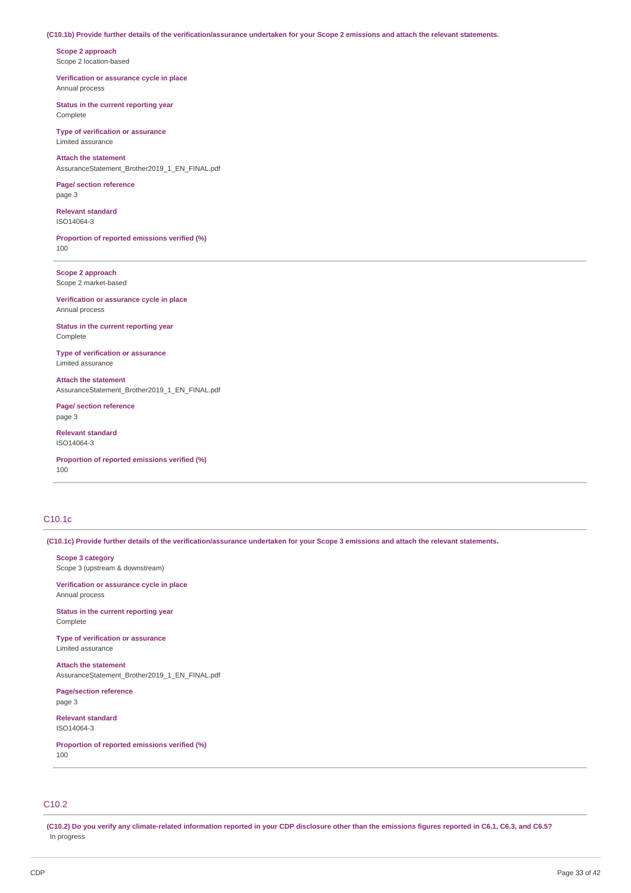## (C10.1b) Provide further details of the verification/assurance undertaken for your Scope 2 emissions and attach the relevant statements.

**Scope 2 approach** Scope 2 location-based

**Verification or assurance cycle in place** Annual process

**Status in the current reporting year** Complete

**Type of verification or assurance** Limited assurance

**Attach the statement** AssuranceStatement\_Brother2019\_1\_EN\_FINAL.pdf

**Page/ section reference** page 3

**Relevant standard** ISO14064-3

**Proportion of reported emissions verified (%)** 100

**Scope 2 approach** Scope 2 market-based

**Verification or assurance cycle in place** Annual process

**Status in the current reporting year** Complete

**Type of verification or assurance** Limited assurance

**Attach the statement** AssuranceStatement\_Brother2019\_1\_EN\_FINAL.pdf

**Page/ section reference** page 3

**Relevant standard** ISO14064-3

**Proportion of reported emissions verified (%)** 100

# C10.1c

(C10.1c) Provide further details of the verification/assurance undertaken for your Scope 3 emissions and attach the relevant statements.

**Scope 3 category** Scope 3 (upstream & downstream)

**Verification or assurance cycle in place**

Annual process

**Status in the current reporting year** Complete

**Type of verification or assurance** Limited assurance

**Attach the statement** AssuranceStatement\_Brother2019\_1\_EN\_FINAL.pdf

**Page/section reference** page 3

**Relevant standard** ISO14064-3

**Proportion of reported emissions verified (%)** 100

# C10.2

(C10.2) Do you verify any climate-related information reported in your CDP disclosure other than the emissions figures reported in C6.1, C6.3, and C6.5? In progress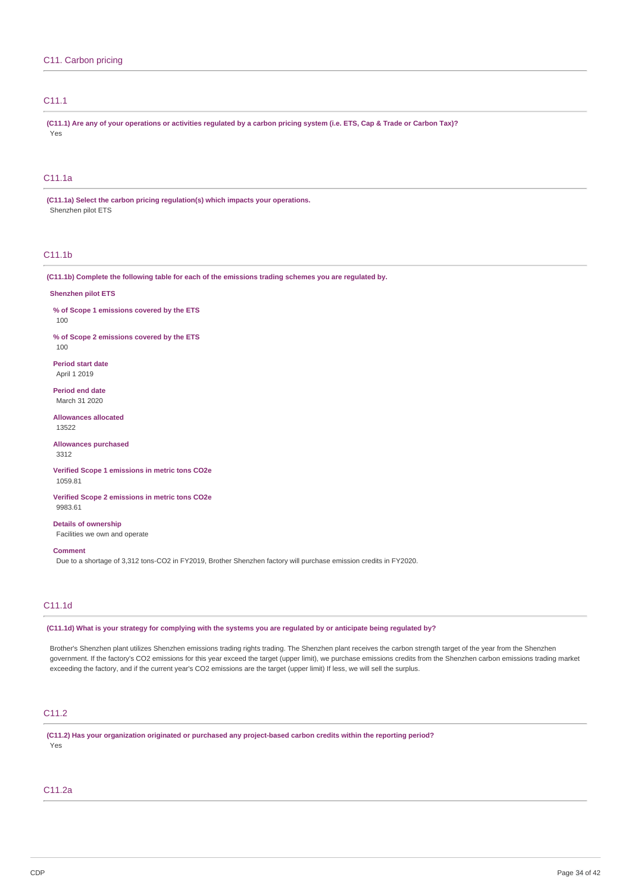# C11.1

(C11.1) Are any of your operations or activities regulated by a carbon pricing system (i.e. ETS, Cap & Trade or Carbon Tax)? Yes

# C11.1a

**(C11.1a) Select the carbon pricing regulation(s) which impacts your operations.** Shenzhen pilot ETS

# C11.1b

**(C11.1b) Complete the following table for each of the emissions trading schemes you are regulated by.**

## **Shenzhen pilot ETS**

**% of Scope 1 emissions covered by the ETS**

100

**% of Scope 2 emissions covered by the ETS** 100

**Period start date** April 1 2019

**Period end date** March 31 2020

**Allowances allocated** 13522

**Allowances purchased** 3312

**Verified Scope 1 emissions in metric tons CO2e** 1059.81

**Verified Scope 2 emissions in metric tons CO2e** 9983.61

**Details of ownership** Facilities we own and operate

**Comment**

Due to a shortage of 3,312 tons-CO2 in FY2019, Brother Shenzhen factory will purchase emission credits in FY2020.

# C11.1d

(C11.1d) What is your strategy for complying with the systems you are regulated by or anticipate being regulated by?

Brother's Shenzhen plant utilizes Shenzhen emissions trading rights trading. The Shenzhen plant receives the carbon strength target of the year from the Shenzhen government. If the factory's CO2 emissions for this year exceed the target (upper limit), we purchase emissions credits from the Shenzhen carbon emissions trading market exceeding the factory, and if the current year's CO2 emissions are the target (upper limit) If less, we will sell the surplus.

# C11.2

**(C11.2) Has your organization originated or purchased any project-based carbon credits within the reporting period?** Yes

## C11.2a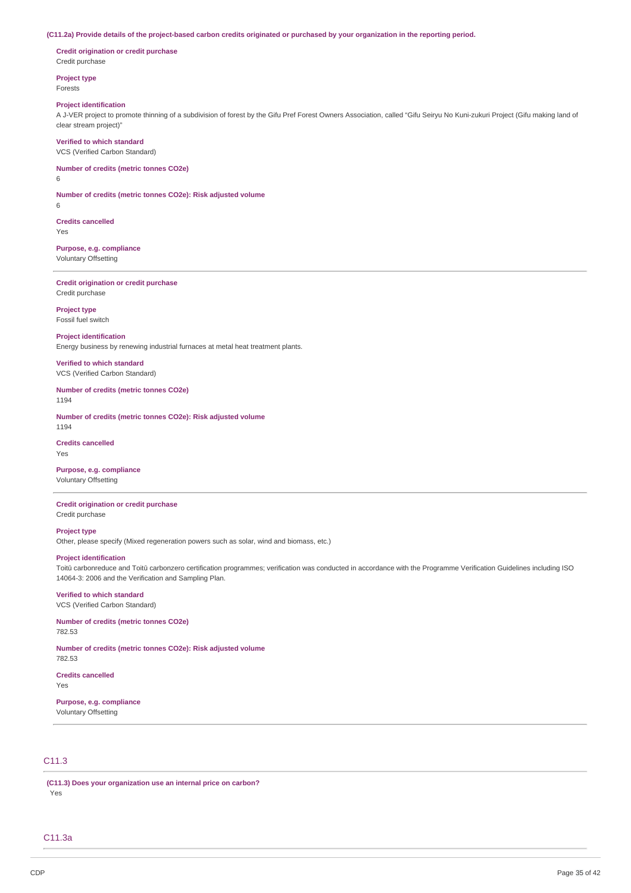## (C11.2a) Provide details of the project-based carbon credits originated or purchased by your organization in the reporting period.

**Credit origination or credit purchase** Credit purchase

**Project type** Forests

#### **Project identification**

A J-VER project to promote thinning of a subdivision of forest by the Gifu Pref Forest Owners Association, called "Gifu Seiryu No Kuni-zukuri Project (Gifu making land of clear stream project)"

#### **Verified to which standard**

VCS (Verified Carbon Standard)

# **Number of credits (metric tonnes CO2e)**

6

**Number of credits (metric tonnes CO2e): Risk adjusted volume** 6

**Credits cancelled**

Yes

## **Purpose, e.g. compliance** Voluntary Offsetting

**Credit origination or credit purchase** Credit purchase

**Project type** Fossil fuel switch

## **Project identification**

Energy business by renewing industrial furnaces at metal heat treatment plants.

**Verified to which standard** VCS (Verified Carbon Standard)

# **Number of credits (metric tonnes CO2e)**

1194

**Number of credits (metric tonnes CO2e): Risk adjusted volume** 1194

### **Credits cancelled** Yes

**Purpose, e.g. compliance** Voluntary Offsetting

## **Credit origination or credit purchase** Credit purchase

**Project type**

Other, please specify (Mixed regeneration powers such as solar, wind and biomass, etc.)

# **Project identification**

Toitū carbonreduce and Toitū carbonzero certification programmes; verification was conducted in accordance with the Programme Verification Guidelines including ISO 14064-3: 2006 and the Verification and Sampling Plan.

#### **Verified to which standard** VCS (Verified Carbon Standard)

# **Number of credits (metric tonnes CO2e)**

782.53

**Number of credits (metric tonnes CO2e): Risk adjusted volume** 782.53

**Credits cancelled**

Yes

# **Purpose, e.g. compliance**

Voluntary Offsetting

# C11.3

**(C11.3) Does your organization use an internal price on carbon?** Yes

## C11.3a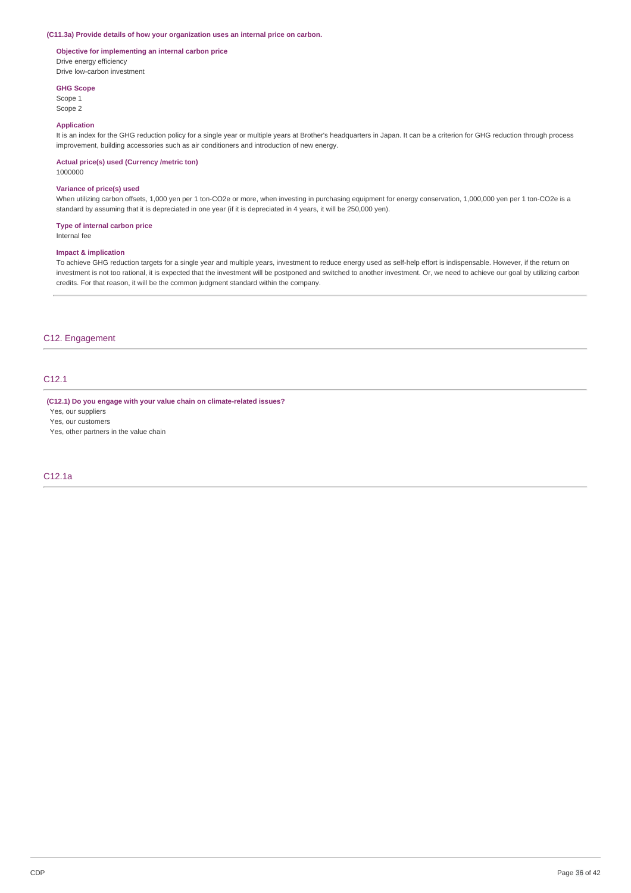## **(C11.3a) Provide details of how your organization uses an internal price on carbon.**

## **Objective for implementing an internal carbon price** Drive energy efficiency

Drive low-carbon investment **GHG Scope**

Scope 1 Scope 2

## **Application**

It is an index for the GHG reduction policy for a single year or multiple years at Brother's headquarters in Japan. It can be a criterion for GHG reduction through process improvement, building accessories such as air conditioners and introduction of new energy.

#### **Actual price(s) used (Currency /metric ton)**

1000000

#### **Variance of price(s) used**

When utilizing carbon offsets, 1,000 yen per 1 ton-CO2e or more, when investing in purchasing equipment for energy conservation, 1,000,000 yen per 1 ton-CO2e is a standard by assuming that it is depreciated in one year (if it is depreciated in 4 years, it will be 250,000 yen).

## **Type of internal carbon price**

Internal fee

## **Impact & implication**

To achieve GHG reduction targets for a single year and multiple years, investment to reduce energy used as self-help effort is indispensable. However, if the return on investment is not too rational, it is expected that the investment will be postponed and switched to another investment. Or, we need to achieve our goal by utilizing carbon credits. For that reason, it will be the common judgment standard within the company.

# C12. Engagement

# C12.1

**(C12.1) Do you engage with your value chain on climate-related issues?**

Yes, our suppliers

Yes, our customers

Yes, other partners in the value chain

# C12.1a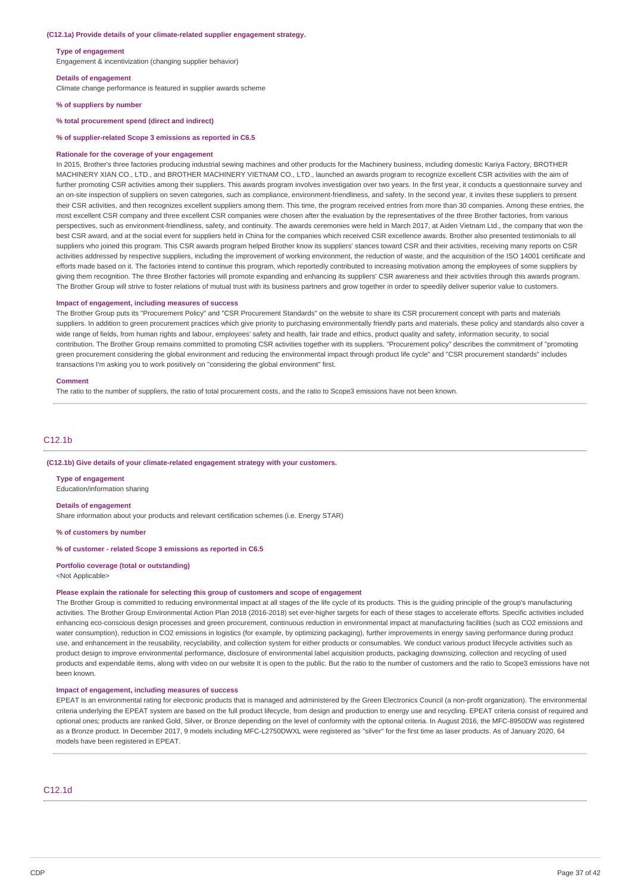#### **(C12.1a) Provide details of your climate-related supplier engagement strategy.**

#### **Type of engagement**

Engagement & incentivization (changing supplier behavior)

## **Details of engagement**

Climate change performance is featured in supplier awards scheme

### **% of suppliers by number**

**% total procurement spend (direct and indirect)**

**% of supplier-related Scope 3 emissions as reported in C6.5**

#### **Rationale for the coverage of your engagement**

In 2015, Brother's three factories producing industrial sewing machines and other products for the Machinery business, including domestic Kariya Factory, BROTHER MACHINERY XIAN CO., LTD., and BROTHER MACHINERY VIETNAM CO., LTD., launched an awards program to recognize excellent CSR activities with the aim of further promoting CSR activities among their suppliers. This awards program involves investigation over two years. In the first year, it conducts a questionnaire survey and an on-site inspection of suppliers on seven categories, such as compliance, environment-friendliness, and safety. In the second year, it invites these suppliers to present their CSR activities, and then recognizes excellent suppliers among them. This time, the program received entries from more than 30 companies. Among these entries, the most excellent CSR company and three excellent CSR companies were chosen after the evaluation by the representatives of the three Brother factories, from various perspectives, such as environment-friendliness, safety, and continuity. The awards ceremonies were held in March 2017, at Aiden Vietnam Ltd., the company that won the best CSR award, and at the social event for suppliers held in China for the companies which received CSR excellence awards. Brother also presented testimonials to all suppliers who joined this program. This CSR awards program helped Brother know its suppliers' stances toward CSR and their activities, receiving many reports on CSR activities addressed by respective suppliers, including the improvement of working environment, the reduction of waste, and the acquisition of the ISO 14001 certificate and efforts made based on it. The factories intend to continue this program, which reportedly contributed to increasing motivation among the employees of some suppliers by giving them recognition. The three Brother factories will promote expanding and enhancing its suppliers' CSR awareness and their activities through this awards program. The Brother Group will strive to foster relations of mutual trust with its business partners and grow together in order to speedily deliver superior value to customers.

#### **Impact of engagement, including measures of success**

The Brother Group puts its "Procurement Policy" and "CSR Procurement Standards" on the website to share its CSR procurement concept with parts and materials suppliers. In addition to green procurement practices which give priority to purchasing environmentally friendly parts and materials, these policy and standards also cover a wide range of fields, from human rights and labour, employees' safety and health, fair trade and ethics, product quality and safety, information security, to social contribution. The Brother Group remains committed to promoting CSR activities together with its suppliers. "Procurement policy" describes the commitment of "promoting green procurement considering the global environment and reducing the environmental impact through product life cycle" and "CSR procurement standards" includes transactions I'm asking you to work positively on "considering the global environment" first.

#### **Comment**

The ratio to the number of suppliers, the ratio of total procurement costs, and the ratio to Scope3 emissions have not been known.

# C12.1b

#### **(C12.1b) Give details of your climate-related engagement strategy with your customers.**

**Type of engagement** Education/information sharing

#### **Details of engagement**

Share information about your products and relevant certification schemes (i.e. Energy STAR)

**% of customers by number**

## **% of customer - related Scope 3 emissions as reported in C6.5**

#### **Portfolio coverage (total or outstanding)**

<Not Applicable>

#### **Please explain the rationale for selecting this group of customers and scope of engagement**

The Brother Group is committed to reducing environmental impact at all stages of the life cycle of its products. This is the guiding principle of the group's manufacturing activities. The Brother Group Environmental Action Plan 2018 (2016-2018) set ever-higher targets for each of these stages to accelerate efforts. Specific activities included enhancing eco-conscious design processes and green procurement, continuous reduction in environmental impact at manufacturing facilities (such as CO2 emissions and water consumption), reduction in CO2 emissions in logistics (for example, by optimizing packaging), further improvements in energy saving performance during product use, and enhancement in the reusability, recyclability, and collection system for either products or consumables. We conduct various product lifecycle activities such as product design to improve environmental performance, disclosure of environmental label acquisition products, packaging downsizing, collection and recycling of used products and expendable items, along with video on our website It is open to the public. But the ratio to the number of customers and the ratio to Scope3 emissions have not been known.

## **Impact of engagement, including measures of success**

EPEAT is an environmental rating for electronic products that is managed and administered by the Green Electronics Council (a non-profit organization). The environmental criteria underlying the EPEAT system are based on the full product lifecycle, from design and production to energy use and recycling. EPEAT criteria consist of required and optional ones; products are ranked Gold, Silver, or Bronze depending on the level of conformity with the optional criteria. In August 2016, the MFC-8950DW was registered as a Bronze product. In December 2017, 9 models including MFC-L2750DWXL were registered as "silver" for the first time as laser products. As of January 2020, 64 models have been registered in EPEAT.

## C12.1d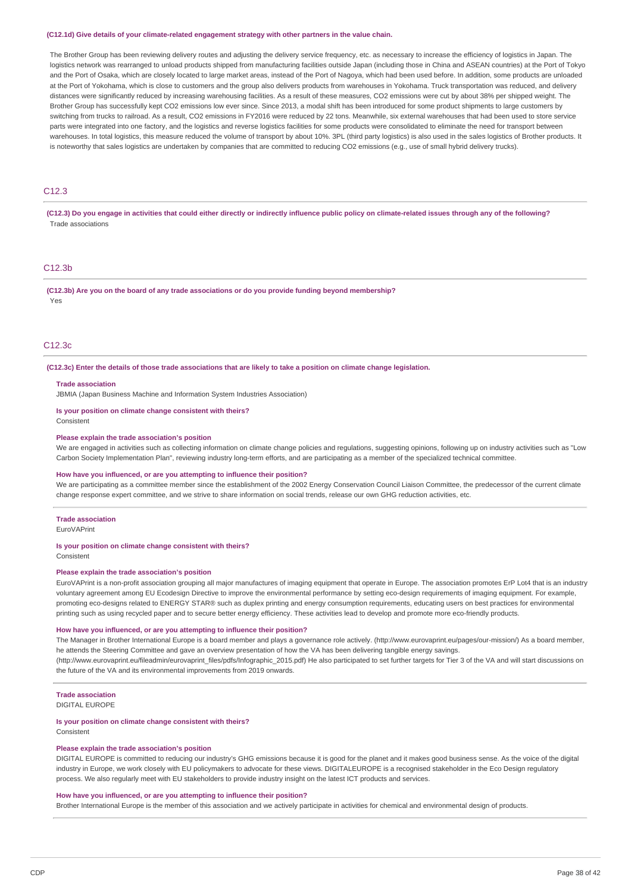#### **(C12.1d) Give details of your climate-related engagement strategy with other partners in the value chain.**

The Brother Group has been reviewing delivery routes and adjusting the delivery service frequency, etc. as necessary to increase the efficiency of logistics in Japan. The logistics network was rearranged to unload products shipped from manufacturing facilities outside Japan (including those in China and ASEAN countries) at the Port of Tokyo and the Port of Osaka, which are closely located to large market areas, instead of the Port of Nagoya, which had been used before. In addition, some products are unloaded at the Port of Yokohama, which is close to customers and the group also delivers products from warehouses in Yokohama. Truck transportation was reduced, and delivery distances were significantly reduced by increasing warehousing facilities. As a result of these measures, CO2 emissions were cut by about 38% per shipped weight. The Brother Group has successfully kept CO2 emissions low ever since. Since 2013, a modal shift has been introduced for some product shipments to large customers by switching from trucks to railroad. As a result, CO2 emissions in FY2016 were reduced by 22 tons. Meanwhile, six external warehouses that had been used to store service parts were integrated into one factory, and the logistics and reverse logistics facilities for some products were consolidated to eliminate the need for transport between warehouses. In total logistics, this measure reduced the volume of transport by about 10%. 3PL (third party logistics) is also used in the sales logistics of Brother products. It is noteworthy that sales logistics are undertaken by companies that are committed to reducing CO2 emissions (e.g., use of small hybrid delivery trucks).

# C12.3

(C12.3) Do you engage in activities that could either directly or indirectly influence public policy on climate-related issues through any of the following? Trade associations

# C12.3b

**(C12.3b) Are you on the board of any trade associations or do you provide funding beyond membership?** Yes

# C12.3c

(C12.3c) Enter the details of those trade associations that are likely to take a position on climate change legislation.

#### **Trade association**

JBMIA (Japan Business Machine and Information System Industries Association)

## **Is your position on climate change consistent with theirs?**

Consistent

## **Please explain the trade association's position**

We are engaged in activities such as collecting information on climate change policies and regulations, suggesting opinions, following up on industry activities such as "Low Carbon Society Implementation Plan", reviewing industry long-term efforts, and are participating as a member of the specialized technical committee.

#### **How have you influenced, or are you attempting to influence their position?**

We are participating as a committee member since the establishment of the 2002 Energy Conservation Council Liaison Committee, the predecessor of the current climate change response expert committee, and we strive to share information on social trends, release our own GHG reduction activities, etc.

#### **Trade association**

EuroVAPrint

#### **Is your position on climate change consistent with theirs?**

Consistent

#### **Please explain the trade association's position**

EuroVAPrint is a non-profit association grouping all major manufactures of imaging equipment that operate in Europe. The association promotes ErP Lot4 that is an industry voluntary agreement among EU Ecodesign Directive to improve the environmental performance by setting eco-design requirements of imaging equipment. For example, promoting eco-designs related to ENERGY STAR® such as duplex printing and energy consumption requirements, educating users on best practices for environmental printing such as using recycled paper and to secure better energy efficiency. These activities lead to develop and promote more eco-friendly products.

## **How have you influenced, or are you attempting to influence their position?**

The Manager in Brother International Europe is a board member and plays a governance role actively. (http://www.eurovaprint.eu/pages/our-mission/) As a board member, he attends the Steering Committee and gave an overview presentation of how the VA has been delivering tangible energy savings. (http://www.eurovaprint.eu/fileadmin/eurovaprint\_files/pdfs/Infographic\_2015.pdf) He also participated to set further targets for Tier 3 of the VA and will start discussions on the future of the VA and its environmental improvements from 2019 onwards.

## **Trade association**

DIGITAL EUROPE

#### **Is your position on climate change consistent with theirs?**

Consistent

#### **Please explain the trade association's position**

DIGITAL EUROPE is committed to reducing our industry's GHG emissions because it is good for the planet and it makes good business sense. As the voice of the digital industry in Europe, we work closely with EU policymakers to advocate for these views. DIGITALEUROPE is a recognised stakeholder in the Eco Design regulatory process. We also regularly meet with EU stakeholders to provide industry insight on the latest ICT products and services.

## **How have you influenced, or are you attempting to influence their position?**

Brother International Europe is the member of this association and we actively participate in activities for chemical and environmental design of products.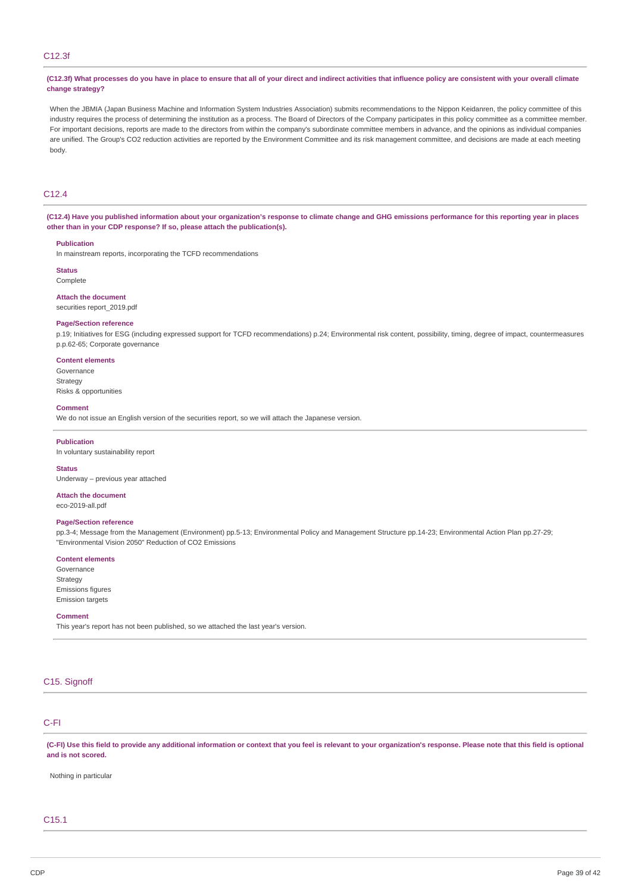# C12.3f

(C12.3f) What processes do you have in place to ensure that all of your direct and indirect activities that influence policy are consistent with your overall climate **change strategy?**

When the JBMIA (Japan Business Machine and Information System Industries Association) submits recommendations to the Nippon Keidanren, the policy committee of this industry requires the process of determining the institution as a process. The Board of Directors of the Company participates in this policy committee as a committee member. For important decisions, reports are made to the directors from within the company's subordinate committee members in advance, and the opinions as individual companies are unified. The Group's CO2 reduction activities are reported by the Environment Committee and its risk management committee, and decisions are made at each meeting body.

# C12.4

(C12.4) Have you published information about your organization's response to climate change and GHG emissions performance for this reporting year in places **other than in your CDP response? If so, please attach the publication(s).**

#### **Publication**

In mainstream reports, incorporating the TCFD recommendations

**Status**

Complete

## **Attach the document** securities report\_2019.pdf

## **Page/Section reference**

p.19; Initiatives for ESG (including expressed support for TCFD recommendations) p.24; Environmental risk content, possibility, timing, degree of impact, countermeasures p.p.62-65; Corporate governance

## **Content elements**

Governance Strategy Risks & opportunities

#### **Comment**

We do not issue an English version of the securities report, so we will attach the Japanese version.

#### **Publication**

In voluntary sustainability report

## **Status**

Underway – previous year attached

#### **Attach the document**

eco-2019-all.pdf

## **Page/Section reference**

pp.3-4; Message from the Management (Environment) pp.5-13; Environmental Policy and Management Structure pp.14-23; Environmental Action Plan pp.27-29; "Environmental Vision 2050" Reduction of CO2 Emissions

#### **Content elements**

Governance Strategy Emissions figures Emission targets

#### **Comment**

This year's report has not been published, so we attached the last year's version.

# C15. Signoff

## C-FI

(C-FI) Use this field to provide any additional information or context that you feel is relevant to your organization's response. Please note that this field is optional **and is not scored.**

Nothing in particular

# C15.1